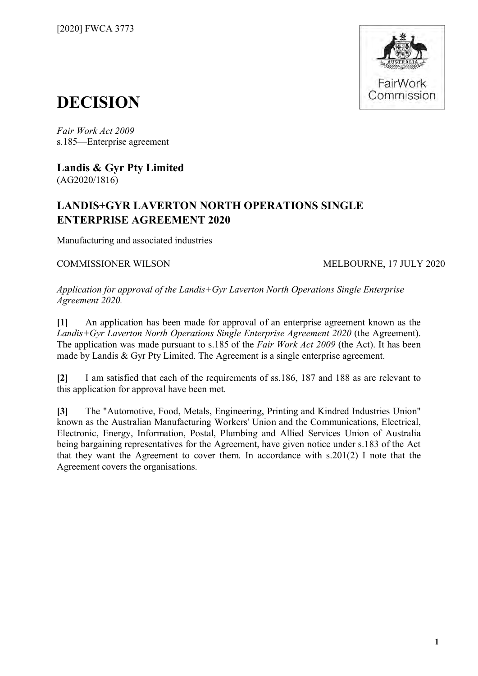

# **DECISION**

*Fair Work Act 2009*  s.185—Enterprise agreement

**Landis & Gyr Pty Limited** (AG2020/1816)

# **LANDIS+GYR LAVERTON NORTH OPERATIONS SINGLE ENTERPRISE AGREEMENT 2020**

Manufacturing and associated industries

# COMMISSIONER WILSON MELBOURNE, 17 JULY 2020

*Application for approval of the Landis+Gyr Laverton North Operations Single Enterprise Agreement 2020.*

**[1]** An application has been made for approval of an enterprise agreement known as the *Landis+Gyr Laverton North Operations Single Enterprise Agreement 2020* (the Agreement). The application was made pursuant to s.185 of the *Fair Work Act 2009* (the Act). It has been made by Landis & Gyr Pty Limited. The Agreement is a single enterprise agreement.

**[2]** I am satisfied that each of the requirements of ss.186, 187 and 188 as are relevant to this application for approval have been met.

**[3]** The "Automotive, Food, Metals, Engineering, Printing and Kindred Industries Union" known as the Australian Manufacturing Workers' Union and the Communications, Electrical, Electronic, Energy, Information, Postal, Plumbing and Allied Services Union of Australia being bargaining representatives for the Agreement, have given notice under s.183 of the Act that they want the Agreement to cover them. In accordance with s.201(2) I note that the Agreement covers the organisations.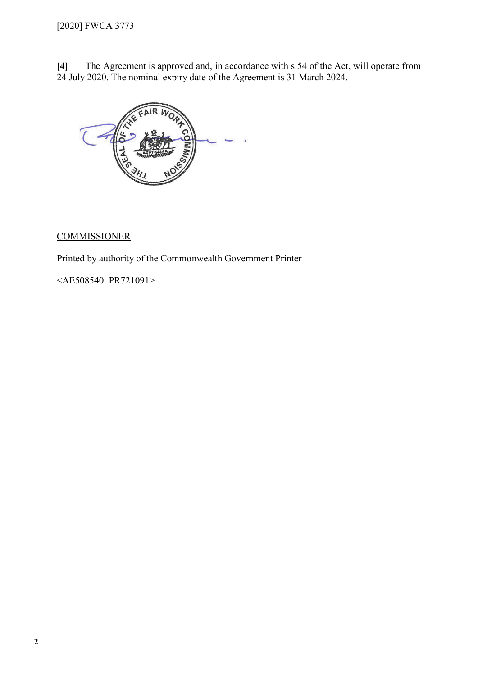The Agreement is approved and, in accordance with s.54 of the Act, will operate from 24 July 2020. The nominal expiry date of the Agreement is 31 March 2024.



# **COMMISSIONER**

Printed by authority of the Commonwealth Government Printer

<AE508540 PR721091>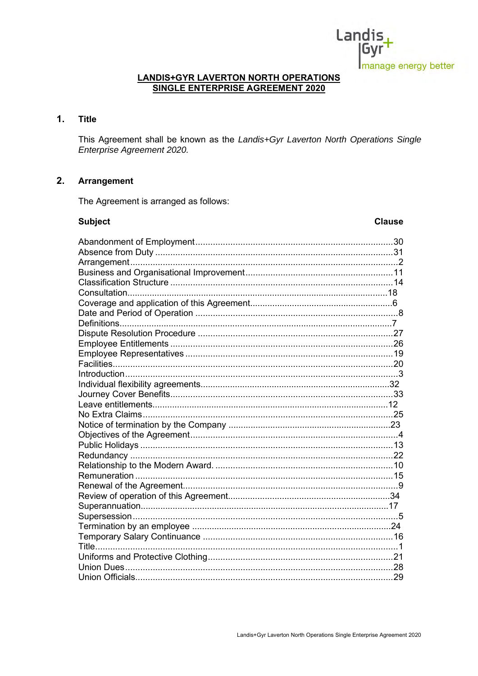Landis GVr Imanage energy better

### **LANDIS+GYR LAVERTON NORTH OPERATIONS** SINGLE ENTERPRISE AGREEMENT 2020

#### $1.$ **Title**

This Agreement shall be known as the Landis+Gyr Laverton North Operations Single Enterprise Agreement 2020.

#### $2.$ **Arrangement**

The Agreement is arranged as follows:

#### **Subject**

### **Clause**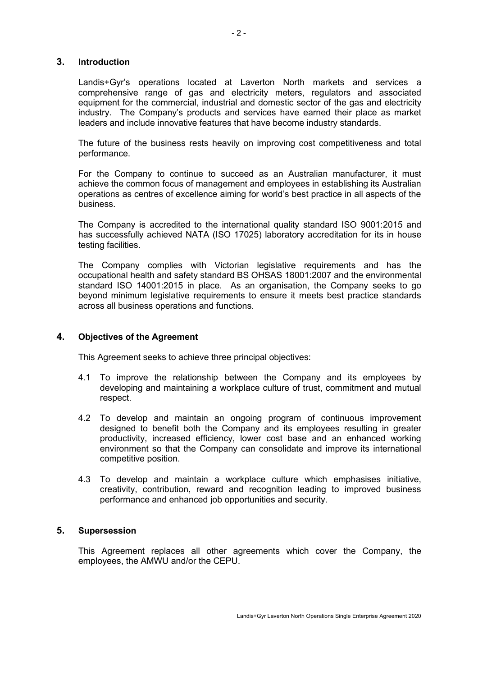#### **3. Introduction**

Landis+Gyr's operations located at Laverton North markets and services a comprehensive range of gas and electricity meters, regulators and associated equipment for the commercial, industrial and domestic sector of the gas and electricity industry. The Company's products and services have earned their place as market leaders and include innovative features that have become industry standards.

The future of the business rests heavily on improving cost competitiveness and total performance.

For the Company to continue to succeed as an Australian manufacturer, it must achieve the common focus of management and employees in establishing its Australian operations as centres of excellence aiming for world's best practice in all aspects of the business.

The Company is accredited to the international quality standard ISO 9001:2015 and has successfully achieved NATA (ISO 17025) laboratory accreditation for its in house testing facilities.

The Company complies with Victorian legislative requirements and has the occupational health and safety standard BS OHSAS 18001:2007 and the environmental standard ISO 14001:2015 in place. As an organisation, the Company seeks to go beyond minimum legislative requirements to ensure it meets best practice standards across all business operations and functions.

#### **4. Objectives of the Agreement**

This Agreement seeks to achieve three principal objectives:

- 4.1 To improve the relationship between the Company and its employees by developing and maintaining a workplace culture of trust, commitment and mutual respect.
- 4.2 To develop and maintain an ongoing program of continuous improvement designed to benefit both the Company and its employees resulting in greater productivity, increased efficiency, lower cost base and an enhanced working environment so that the Company can consolidate and improve its international competitive position.
- 4.3 To develop and maintain a workplace culture which emphasises initiative, creativity, contribution, reward and recognition leading to improved business performance and enhanced job opportunities and security.

#### **5. Supersession**

This Agreement replaces all other agreements which cover the Company, the employees, the AMWU and/or the CEPU.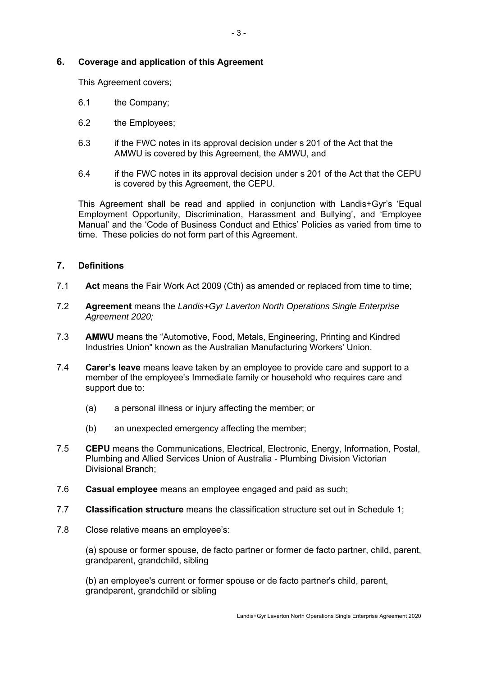#### **6. Coverage and application of this Agreement**

This Agreement covers;

- 6.1 the Company;
- 6.2 the Employees;
- 6.3 if the FWC notes in its approval decision under s 201 of the Act that the AMWU is covered by this Agreement, the AMWU, and
- 6.4 if the FWC notes in its approval decision under s 201 of the Act that the CEPU is covered by this Agreement, the CEPU.

This Agreement shall be read and applied in conjunction with Landis+Gyr's 'Equal Employment Opportunity, Discrimination, Harassment and Bullying', and 'Employee Manual' and the 'Code of Business Conduct and Ethics' Policies as varied from time to time. These policies do not form part of this Agreement.

### **7. Definitions**

- 7.1 **Act** means the Fair Work Act 2009 (Cth) as amended or replaced from time to time;
- 7.2 **Agreement** means the *Landis+Gyr Laverton North Operations Single Enterprise Agreement 2020;*
- 7.3 **AMWU** means the "Automotive, Food, Metals, Engineering, Printing and Kindred Industries Union" known as the Australian Manufacturing Workers' Union.
- 7.4 **Carer's leave** means leave taken by an employee to provide care and support to a member of the employee's Immediate family or household who requires care and support due to:
	- (a) a personal illness or injury affecting the member; or
	- (b) an unexpected emergency affecting the member;
- 7.5 **CEPU** means the Communications, Electrical, Electronic, Energy, Information, Postal, Plumbing and Allied Services Union of Australia - Plumbing Division Victorian Divisional Branch;
- 7.6 **Casual employee** means an employee engaged and paid as such;
- 7.7 **Classification structure** means the classification structure set out in Schedule 1;
- 7.8 Close relative means an employee's:

(a) spouse or former spouse, de facto partner or former de facto partner, child, parent, grandparent, grandchild, sibling

(b) an employee's current or former spouse or de facto partner's child, parent, grandparent, grandchild or sibling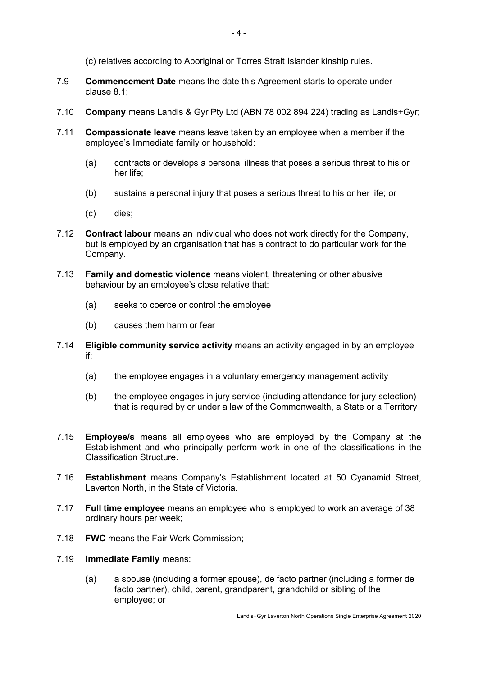(c) relatives according to Aboriginal or Torres Strait Islander kinship rules.

- 7.9 **Commencement Date** means the date this Agreement starts to operate under clause 8.1;
- 7.10 **Company** means Landis & Gyr Pty Ltd (ABN 78 002 894 224) trading as Landis+Gyr;
- 7.11 **Compassionate leave** means leave taken by an employee when a member if the employee's Immediate family or household:
	- (a) contracts or develops a personal illness that poses a serious threat to his or her life;
	- (b) sustains a personal injury that poses a serious threat to his or her life; or
	- (c) dies;
- 7.12 **Contract labour** means an individual who does not work directly for the Company, but is employed by an organisation that has a contract to do particular work for the Company.
- 7.13 **Family and domestic violence** means violent, threatening or other abusive behaviour by an employee's close relative that:
	- (a) seeks to coerce or control the employee
	- (b) causes them harm or fear
- 7.14 **Eligible community service activity** means an activity engaged in by an employee if:
	- (a) the employee engages in a voluntary emergency management activity
	- (b) the employee engages in jury service (including attendance for jury selection) that is required by or under a law of the Commonwealth, a State or a Territory
- 7.15 **Employee/s** means all employees who are employed by the Company at the Establishment and who principally perform work in one of the classifications in the Classification Structure.
- 7.16 **Establishment** means Company's Establishment located at 50 Cyanamid Street, Laverton North, in the State of Victoria.
- 7.17 **Full time employee** means an employee who is employed to work an average of 38 ordinary hours per week;
- 7.18 **FWC** means the Fair Work Commission;
- 7.19 **Immediate Family** means:
	- (a) a spouse (including a former spouse), de facto partner (including a former de facto partner), child, parent, grandparent, grandchild or sibling of the employee; or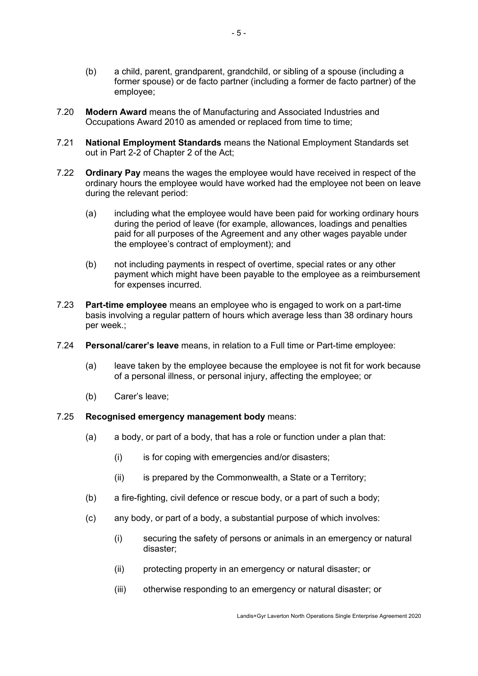- (b) a child, parent, grandparent, grandchild, or sibling of a spouse (including a former spouse) or de facto partner (including a former de facto partner) of the employee;
- 7.20 **Modern Award** means the of Manufacturing and Associated Industries and Occupations Award 2010 as amended or replaced from time to time;
- 7.21 **National Employment Standards** means the National Employment Standards set out in Part 2-2 of Chapter 2 of the Act;
- 7.22 **Ordinary Pay** means the wages the employee would have received in respect of the ordinary hours the employee would have worked had the employee not been on leave during the relevant period:
	- (a) including what the employee would have been paid for working ordinary hours during the period of leave (for example, allowances, loadings and penalties paid for all purposes of the Agreement and any other wages payable under the employee's contract of employment); and
	- (b) not including payments in respect of overtime, special rates or any other payment which might have been payable to the employee as a reimbursement for expenses incurred.
- 7.23 **Part-time employee** means an employee who is engaged to work on a part-time basis involving a regular pattern of hours which average less than 38 ordinary hours per week.;
- 7.24 **Personal/carer's leave** means, in relation to a Full time or Part-time employee:
	- (a) leave taken by the employee because the employee is not fit for work because of a personal illness, or personal injury, affecting the employee; or
	- (b) Carer's leave;

#### 7.25 **Recognised emergency management body** means:

- (a) a body, or part of a body, that has a role or function under a plan that:
	- (i) is for coping with emergencies and/or disasters;
	- (ii) is prepared by the Commonwealth, a State or a Territory;
- (b) a fire-fighting, civil defence or rescue body, or a part of such a body;
- (c) any body, or part of a body, a substantial purpose of which involves:
	- (i) securing the safety of persons or animals in an emergency or natural disaster;
	- (ii) protecting property in an emergency or natural disaster; or
	- (iii) otherwise responding to an emergency or natural disaster; or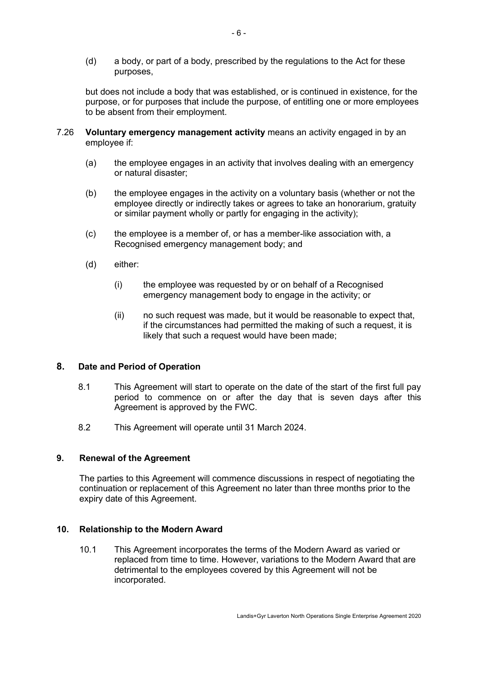(d) a body, or part of a body, prescribed by the regulations to the Act for these purposes,

but does not include a body that was established, or is continued in existence, for the purpose, or for purposes that include the purpose, of entitling one or more employees to be absent from their employment.

- 7.26 **Voluntary emergency management activity** means an activity engaged in by an employee if:
	- (a) the employee engages in an activity that involves dealing with an emergency or natural disaster;
	- (b) the employee engages in the activity on a voluntary basis (whether or not the employee directly or indirectly takes or agrees to take an honorarium, gratuity or similar payment wholly or partly for engaging in the activity);
	- (c) the employee is a member of, or has a member-like association with, a Recognised emergency management body; and
	- (d) either:
		- (i) the employee was requested by or on behalf of a Recognised emergency management body to engage in the activity; or
		- (ii) no such request was made, but it would be reasonable to expect that, if the circumstances had permitted the making of such a request, it is likely that such a request would have been made;

### **8. Date and Period of Operation**

- 8.1 This Agreement will start to operate on the date of the start of the first full pay period to commence on or after the day that is seven days after this Agreement is approved by the FWC.
- 8.2 This Agreement will operate until 31 March 2024.

#### **9. Renewal of the Agreement**

The parties to this Agreement will commence discussions in respect of negotiating the continuation or replacement of this Agreement no later than three months prior to the expiry date of this Agreement.

#### **10. Relationship to the Modern Award**

10.1 This Agreement incorporates the terms of the Modern Award as varied or replaced from time to time. However, variations to the Modern Award that are detrimental to the employees covered by this Agreement will not be incorporated.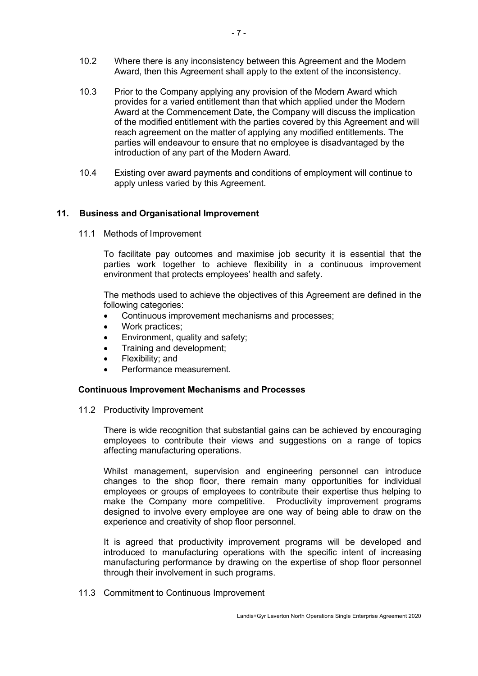10.2 Where there is any inconsistency between this Agreement and the Modern Award, then this Agreement shall apply to the extent of the inconsistency.

- 7 -

- 10.3 Prior to the Company applying any provision of the Modern Award which provides for a varied entitlement than that which applied under the Modern Award at the Commencement Date, the Company will discuss the implication of the modified entitlement with the parties covered by this Agreement and will reach agreement on the matter of applying any modified entitlements. The parties will endeavour to ensure that no employee is disadvantaged by the introduction of any part of the Modern Award.
- 10.4 Existing over award payments and conditions of employment will continue to apply unless varied by this Agreement.

#### **11. Business and Organisational Improvement**

11.1 Methods of Improvement

To facilitate pay outcomes and maximise job security it is essential that the parties work together to achieve flexibility in a continuous improvement environment that protects employees' health and safety.

The methods used to achieve the objectives of this Agreement are defined in the following categories:

- Continuous improvement mechanisms and processes;
- Work practices;
- Environment, quality and safety;
- Training and development;
- Flexibility; and
- Performance measurement.

#### **Continuous Improvement Mechanisms and Processes**

11.2 Productivity Improvement

There is wide recognition that substantial gains can be achieved by encouraging employees to contribute their views and suggestions on a range of topics affecting manufacturing operations.

Whilst management, supervision and engineering personnel can introduce changes to the shop floor, there remain many opportunities for individual employees or groups of employees to contribute their expertise thus helping to make the Company more competitive. Productivity improvement programs designed to involve every employee are one way of being able to draw on the experience and creativity of shop floor personnel.

It is agreed that productivity improvement programs will be developed and introduced to manufacturing operations with the specific intent of increasing manufacturing performance by drawing on the expertise of shop floor personnel through their involvement in such programs.

11.3 Commitment to Continuous Improvement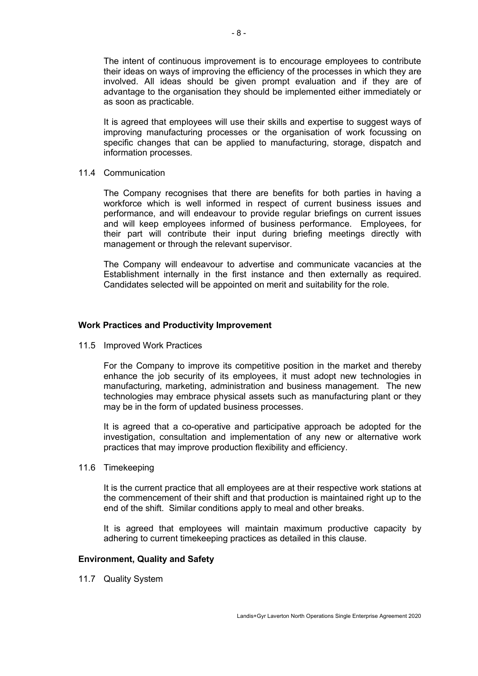The intent of continuous improvement is to encourage employees to contribute their ideas on ways of improving the efficiency of the processes in which they are involved. All ideas should be given prompt evaluation and if they are of advantage to the organisation they should be implemented either immediately or as soon as practicable.

It is agreed that employees will use their skills and expertise to suggest ways of improving manufacturing processes or the organisation of work focussing on specific changes that can be applied to manufacturing, storage, dispatch and information processes.

#### 11.4 Communication

The Company recognises that there are benefits for both parties in having a workforce which is well informed in respect of current business issues and performance, and will endeavour to provide regular briefings on current issues and will keep employees informed of business performance. Employees, for their part will contribute their input during briefing meetings directly with management or through the relevant supervisor.

The Company will endeavour to advertise and communicate vacancies at the Establishment internally in the first instance and then externally as required. Candidates selected will be appointed on merit and suitability for the role.

#### **Work Practices and Productivity Improvement**

11.5 Improved Work Practices

For the Company to improve its competitive position in the market and thereby enhance the job security of its employees, it must adopt new technologies in manufacturing, marketing, administration and business management. The new technologies may embrace physical assets such as manufacturing plant or they may be in the form of updated business processes.

It is agreed that a co-operative and participative approach be adopted for the investigation, consultation and implementation of any new or alternative work practices that may improve production flexibility and efficiency.

11.6 Timekeeping

It is the current practice that all employees are at their respective work stations at the commencement of their shift and that production is maintained right up to the end of the shift. Similar conditions apply to meal and other breaks.

It is agreed that employees will maintain maximum productive capacity by adhering to current timekeeping practices as detailed in this clause.

#### **Environment, Quality and Safety**

11.7 Quality System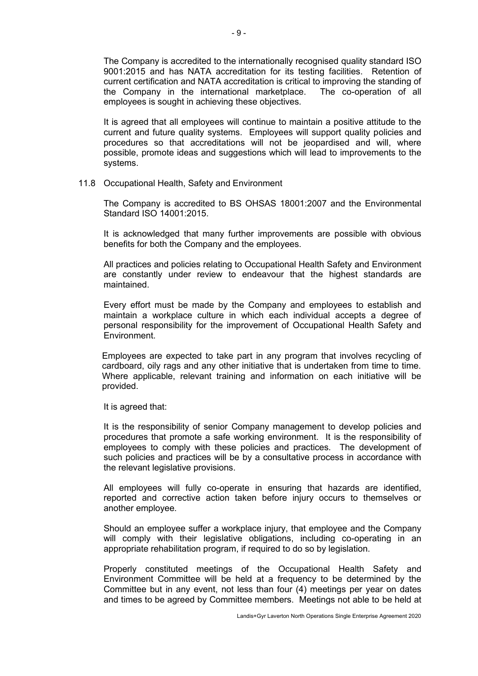The Company is accredited to the internationally recognised quality standard ISO 9001:2015 and has NATA accreditation for its testing facilities. Retention of current certification and NATA accreditation is critical to improving the standing of the Company in the international marketplace. The co-operation of all the Company in the international marketplace. employees is sought in achieving these objectives.

It is agreed that all employees will continue to maintain a positive attitude to the current and future quality systems. Employees will support quality policies and procedures so that accreditations will not be jeopardised and will, where possible, promote ideas and suggestions which will lead to improvements to the systems.

11.8 Occupational Health, Safety and Environment

The Company is accredited to BS OHSAS 18001:2007 and the Environmental Standard ISO 14001:2015.

It is acknowledged that many further improvements are possible with obvious benefits for both the Company and the employees.

All practices and policies relating to Occupational Health Safety and Environment are constantly under review to endeavour that the highest standards are maintained.

Every effort must be made by the Company and employees to establish and maintain a workplace culture in which each individual accepts a degree of personal responsibility for the improvement of Occupational Health Safety and Environment.

Employees are expected to take part in any program that involves recycling of cardboard, oily rags and any other initiative that is undertaken from time to time. Where applicable, relevant training and information on each initiative will be provided.

It is agreed that:

It is the responsibility of senior Company management to develop policies and procedures that promote a safe working environment. It is the responsibility of employees to comply with these policies and practices. The development of such policies and practices will be by a consultative process in accordance with the relevant legislative provisions.

All employees will fully co-operate in ensuring that hazards are identified, reported and corrective action taken before injury occurs to themselves or another employee.

Should an employee suffer a workplace injury, that employee and the Company will comply with their legislative obligations, including co-operating in an appropriate rehabilitation program, if required to do so by legislation.

Properly constituted meetings of the Occupational Health Safety and Environment Committee will be held at a frequency to be determined by the Committee but in any event, not less than four (4) meetings per year on dates and times to be agreed by Committee members. Meetings not able to be held at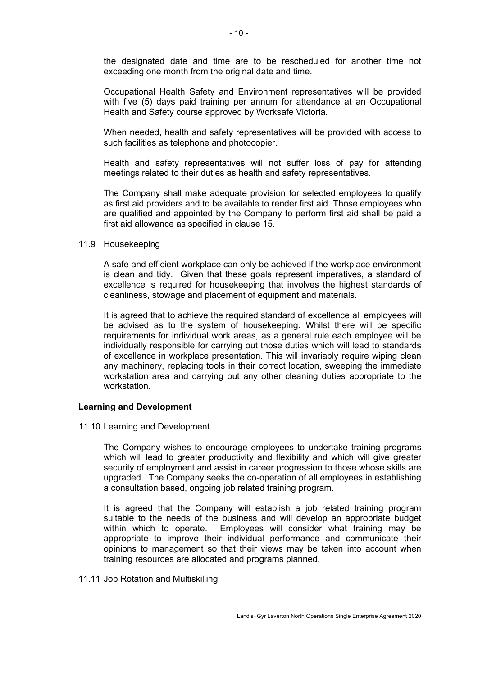the designated date and time are to be rescheduled for another time not exceeding one month from the original date and time.

Occupational Health Safety and Environment representatives will be provided with five (5) days paid training per annum for attendance at an Occupational Health and Safety course approved by Worksafe Victoria.

When needed, health and safety representatives will be provided with access to such facilities as telephone and photocopier.

Health and safety representatives will not suffer loss of pay for attending meetings related to their duties as health and safety representatives.

The Company shall make adequate provision for selected employees to qualify as first aid providers and to be available to render first aid. Those employees who are qualified and appointed by the Company to perform first aid shall be paid a first aid allowance as specified in clause 15.

#### 11.9 Housekeeping

A safe and efficient workplace can only be achieved if the workplace environment is clean and tidy. Given that these goals represent imperatives, a standard of excellence is required for housekeeping that involves the highest standards of cleanliness, stowage and placement of equipment and materials.

It is agreed that to achieve the required standard of excellence all employees will be advised as to the system of housekeeping. Whilst there will be specific requirements for individual work areas, as a general rule each employee will be individually responsible for carrying out those duties which will lead to standards of excellence in workplace presentation. This will invariably require wiping clean any machinery, replacing tools in their correct location, sweeping the immediate workstation area and carrying out any other cleaning duties appropriate to the workstation.

#### **Learning and Development**

11.10 Learning and Development

The Company wishes to encourage employees to undertake training programs which will lead to greater productivity and flexibility and which will give greater security of employment and assist in career progression to those whose skills are upgraded. The Company seeks the co-operation of all employees in establishing a consultation based, ongoing job related training program.

It is agreed that the Company will establish a job related training program suitable to the needs of the business and will develop an appropriate budget within which to operate. Employees will consider what training may be appropriate to improve their individual performance and communicate their opinions to management so that their views may be taken into account when training resources are allocated and programs planned.

11.11 Job Rotation and Multiskilling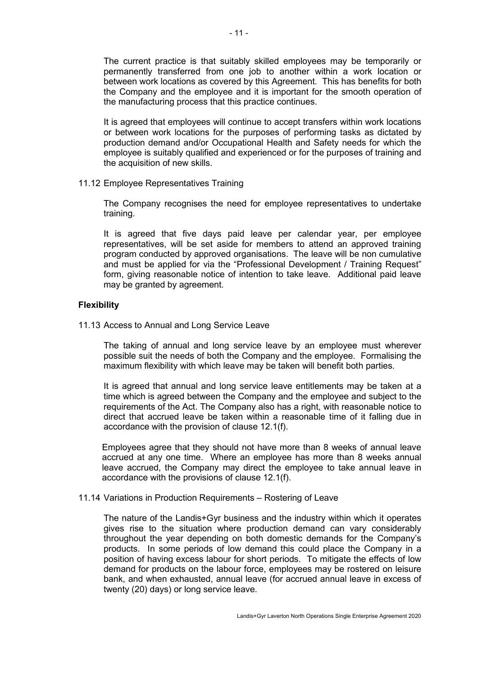The current practice is that suitably skilled employees may be temporarily or permanently transferred from one job to another within a work location or between work locations as covered by this Agreement. This has benefits for both the Company and the employee and it is important for the smooth operation of the manufacturing process that this practice continues.

It is agreed that employees will continue to accept transfers within work locations or between work locations for the purposes of performing tasks as dictated by production demand and/or Occupational Health and Safety needs for which the employee is suitably qualified and experienced or for the purposes of training and the acquisition of new skills.

11.12 Employee Representatives Training

The Company recognises the need for employee representatives to undertake training.

It is agreed that five days paid leave per calendar year, per employee representatives, will be set aside for members to attend an approved training program conducted by approved organisations. The leave will be non cumulative and must be applied for via the "Professional Development / Training Request" form, giving reasonable notice of intention to take leave. Additional paid leave may be granted by agreement.

#### **Flexibility**

11.13 Access to Annual and Long Service Leave

The taking of annual and long service leave by an employee must wherever possible suit the needs of both the Company and the employee. Formalising the maximum flexibility with which leave may be taken will benefit both parties.

It is agreed that annual and long service leave entitlements may be taken at a time which is agreed between the Company and the employee and subject to the requirements of the Act. The Company also has a right, with reasonable notice to direct that accrued leave be taken within a reasonable time of it falling due in accordance with the provision of clause 12.1(f).

Employees agree that they should not have more than 8 weeks of annual leave accrued at any one time. Where an employee has more than 8 weeks annual leave accrued, the Company may direct the employee to take annual leave in accordance with the provisions of clause 12.1(f).

#### 11.14 Variations in Production Requirements – Rostering of Leave

The nature of the Landis+Gyr business and the industry within which it operates gives rise to the situation where production demand can vary considerably throughout the year depending on both domestic demands for the Company's products. In some periods of low demand this could place the Company in a position of having excess labour for short periods. To mitigate the effects of low demand for products on the labour force, employees may be rostered on leisure bank, and when exhausted, annual leave (for accrued annual leave in excess of twenty (20) days) or long service leave.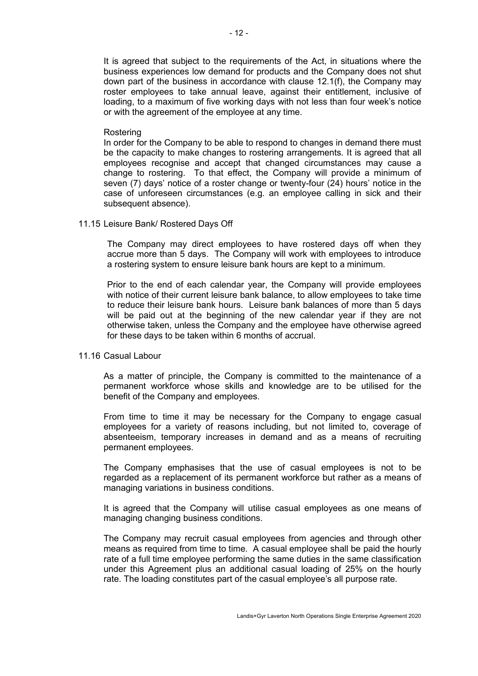It is agreed that subject to the requirements of the Act, in situations where the business experiences low demand for products and the Company does not shut down part of the business in accordance with clause 12.1(f), the Company may roster employees to take annual leave, against their entitlement, inclusive of loading, to a maximum of five working days with not less than four week's notice or with the agreement of the employee at any time.

#### Rostering

In order for the Company to be able to respond to changes in demand there must be the capacity to make changes to rostering arrangements. It is agreed that all employees recognise and accept that changed circumstances may cause a change to rostering. To that effect, the Company will provide a minimum of seven (7) days' notice of a roster change or twenty-four (24) hours' notice in the case of unforeseen circumstances (e.g. an employee calling in sick and their subsequent absence).

#### 11.15 Leisure Bank/ Rostered Days Off

The Company may direct employees to have rostered days off when they accrue more than 5 days. The Company will work with employees to introduce a rostering system to ensure leisure bank hours are kept to a minimum.

Prior to the end of each calendar year, the Company will provide employees with notice of their current leisure bank balance, to allow employees to take time to reduce their leisure bank hours. Leisure bank balances of more than 5 days will be paid out at the beginning of the new calendar year if they are not otherwise taken, unless the Company and the employee have otherwise agreed for these days to be taken within 6 months of accrual.

#### 11.16 Casual Labour

As a matter of principle, the Company is committed to the maintenance of a permanent workforce whose skills and knowledge are to be utilised for the benefit of the Company and employees.

From time to time it may be necessary for the Company to engage casual employees for a variety of reasons including, but not limited to, coverage of absenteeism, temporary increases in demand and as a means of recruiting permanent employees.

The Company emphasises that the use of casual employees is not to be regarded as a replacement of its permanent workforce but rather as a means of managing variations in business conditions.

It is agreed that the Company will utilise casual employees as one means of managing changing business conditions.

The Company may recruit casual employees from agencies and through other means as required from time to time. A casual employee shall be paid the hourly rate of a full time employee performing the same duties in the same classification under this Agreement plus an additional casual loading of 25% on the hourly rate. The loading constitutes part of the casual employee's all purpose rate.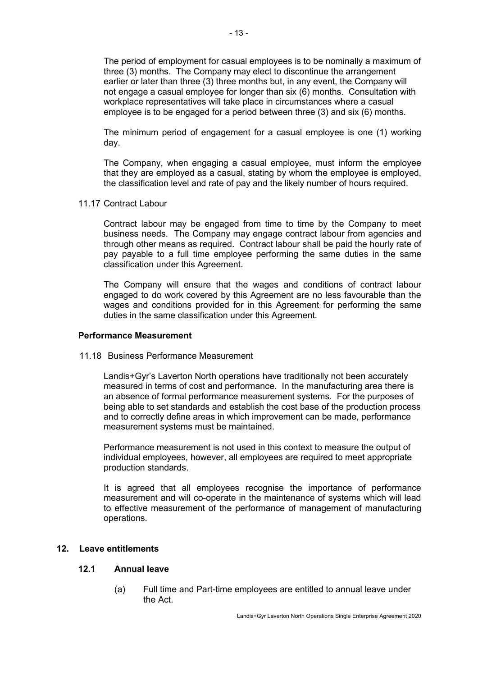The period of employment for casual employees is to be nominally a maximum of three (3) months. The Company may elect to discontinue the arrangement earlier or later than three (3) three months but, in any event, the Company will not engage a casual employee for longer than six (6) months. Consultation with workplace representatives will take place in circumstances where a casual employee is to be engaged for a period between three (3) and six (6) months.

The minimum period of engagement for a casual employee is one (1) working day.

The Company, when engaging a casual employee, must inform the employee that they are employed as a casual, stating by whom the employee is employed, the classification level and rate of pay and the likely number of hours required.

11.17 Contract Labour

Contract labour may be engaged from time to time by the Company to meet business needs. The Company may engage contract labour from agencies and through other means as required. Contract labour shall be paid the hourly rate of pay payable to a full time employee performing the same duties in the same classification under this Agreement.

The Company will ensure that the wages and conditions of contract labour engaged to do work covered by this Agreement are no less favourable than the wages and conditions provided for in this Agreement for performing the same duties in the same classification under this Agreement.

#### **Performance Measurement**

11.18 Business Performance Measurement

Landis+Gyr's Laverton North operations have traditionally not been accurately measured in terms of cost and performance. In the manufacturing area there is an absence of formal performance measurement systems. For the purposes of being able to set standards and establish the cost base of the production process and to correctly define areas in which improvement can be made, performance measurement systems must be maintained.

Performance measurement is not used in this context to measure the output of individual employees, however, all employees are required to meet appropriate production standards.

It is agreed that all employees recognise the importance of performance measurement and will co-operate in the maintenance of systems which will lead to effective measurement of the performance of management of manufacturing operations.

#### **12. Leave entitlements**

#### **12.1 Annual leave**

(a) Full time and Part-time employees are entitled to annual leave under the Act.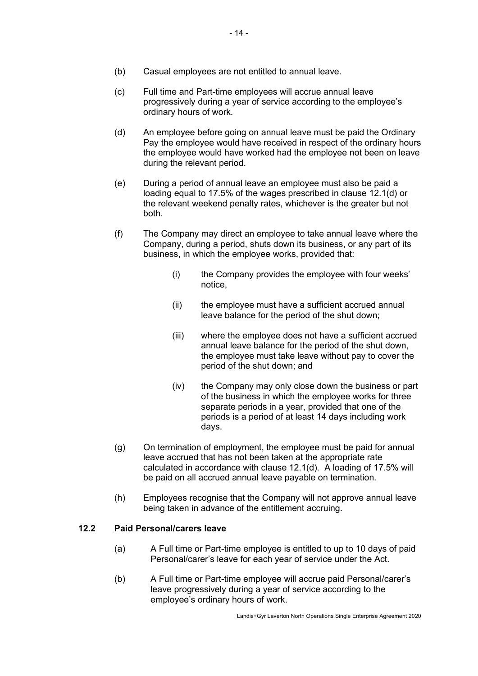- (b) Casual employees are not entitled to annual leave.
- (c) Full time and Part-time employees will accrue annual leave progressively during a year of service according to the employee's ordinary hours of work.
- (d) An employee before going on annual leave must be paid the Ordinary Pay the employee would have received in respect of the ordinary hours the employee would have worked had the employee not been on leave during the relevant period.
- (e) During a period of annual leave an employee must also be paid a loading equal to 17.5% of the wages prescribed in clause 12.1(d) or the relevant weekend penalty rates, whichever is the greater but not both.
- (f) The Company may direct an employee to take annual leave where the Company, during a period, shuts down its business, or any part of its business, in which the employee works, provided that:
	- (i) the Company provides the employee with four weeks' notice,
	- (ii) the employee must have a sufficient accrued annual leave balance for the period of the shut down;
	- (iii) where the employee does not have a sufficient accrued annual leave balance for the period of the shut down, the employee must take leave without pay to cover the period of the shut down; and
	- (iv) the Company may only close down the business or part of the business in which the employee works for three separate periods in a year, provided that one of the periods is a period of at least 14 days including work days.
- (g) On termination of employment, the employee must be paid for annual leave accrued that has not been taken at the appropriate rate calculated in accordance with clause 12.1(d). A loading of 17.5% will be paid on all accrued annual leave payable on termination.
- (h) Employees recognise that the Company will not approve annual leave being taken in advance of the entitlement accruing.

# **12.2 Paid Personal/carers leave**

- (a) A Full time or Part-time employee is entitled to up to 10 days of paid Personal/carer's leave for each year of service under the Act.
- (b) A Full time or Part-time employee will accrue paid Personal/carer's leave progressively during a year of service according to the employee's ordinary hours of work.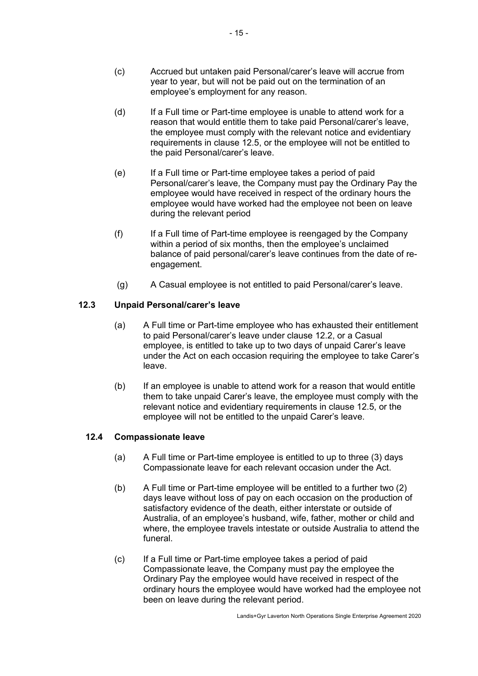- (c) Accrued but untaken paid Personal/carer's leave will accrue from year to year, but will not be paid out on the termination of an employee's employment for any reason.
- (d) If a Full time or Part-time employee is unable to attend work for a reason that would entitle them to take paid Personal/carer's leave, the employee must comply with the relevant notice and evidentiary requirements in clause 12.5, or the employee will not be entitled to the paid Personal/carer's leave.
- (e) If a Full time or Part-time employee takes a period of paid Personal/carer's leave, the Company must pay the Ordinary Pay the employee would have received in respect of the ordinary hours the employee would have worked had the employee not been on leave during the relevant period
- (f) If a Full time of Part-time employee is reengaged by the Company within a period of six months, then the employee's unclaimed balance of paid personal/carer's leave continues from the date of reengagement.
- (g) A Casual employee is not entitled to paid Personal/carer's leave.

#### **12.3 Unpaid Personal/carer's leave**

- (a) A Full time or Part-time employee who has exhausted their entitlement to paid Personal/carer's leave under clause 12.2, or a Casual employee, is entitled to take up to two days of unpaid Carer's leave under the Act on each occasion requiring the employee to take Carer's leave.
- (b) If an employee is unable to attend work for a reason that would entitle them to take unpaid Carer's leave, the employee must comply with the relevant notice and evidentiary requirements in clause 12.5, or the employee will not be entitled to the unpaid Carer's leave.

#### **12.4 Compassionate leave**

- (a) A Full time or Part-time employee is entitled to up to three (3) days Compassionate leave for each relevant occasion under the Act.
- (b) A Full time or Part-time employee will be entitled to a further two (2) days leave without loss of pay on each occasion on the production of satisfactory evidence of the death, either interstate or outside of Australia, of an employee's husband, wife, father, mother or child and where, the employee travels intestate or outside Australia to attend the funeral.
- (c) If a Full time or Part-time employee takes a period of paid Compassionate leave, the Company must pay the employee the Ordinary Pay the employee would have received in respect of the ordinary hours the employee would have worked had the employee not been on leave during the relevant period.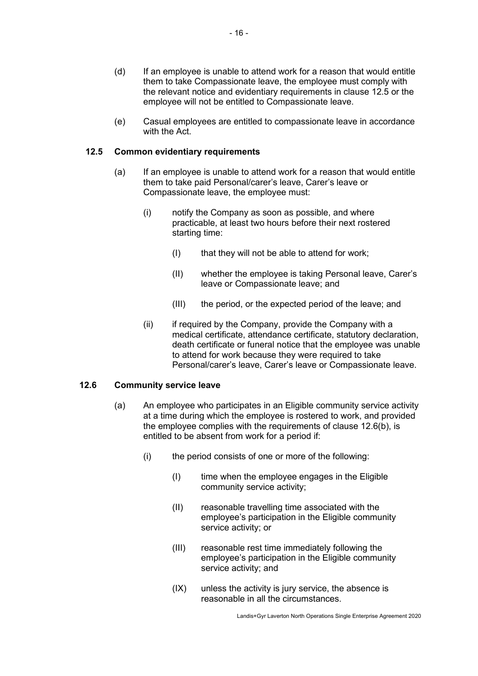- (d) If an employee is unable to attend work for a reason that would entitle them to take Compassionate leave, the employee must comply with the relevant notice and evidentiary requirements in clause 12.5 or the employee will not be entitled to Compassionate leave.
- (e) Casual employees are entitled to compassionate leave in accordance with the Act.

#### **12.5 Common evidentiary requirements**

- (a) If an employee is unable to attend work for a reason that would entitle them to take paid Personal/carer's leave, Carer's leave or Compassionate leave, the employee must:
	- (i) notify the Company as soon as possible, and where practicable, at least two hours before their next rostered starting time:
		- (I) that they will not be able to attend for work;
		- (II) whether the employee is taking Personal leave, Carer's leave or Compassionate leave; and
		- (III) the period, or the expected period of the leave; and
	- (ii) if required by the Company, provide the Company with a medical certificate, attendance certificate, statutory declaration, death certificate or funeral notice that the employee was unable to attend for work because they were required to take Personal/carer's leave, Carer's leave or Compassionate leave.

#### **12.6 Community service leave**

- (a) An employee who participates in an Eligible community service activity at a time during which the employee is rostered to work, and provided the employee complies with the requirements of clause 12.6(b), is entitled to be absent from work for a period if:
	- (i) the period consists of one or more of the following:
		- (I) time when the employee engages in the Eligible community service activity;
		- (II) reasonable travelling time associated with the employee's participation in the Eligible community service activity; or
		- (III) reasonable rest time immediately following the employee's participation in the Eligible community service activity; and
		- (IX) unless the activity is jury service, the absence is reasonable in all the circumstances.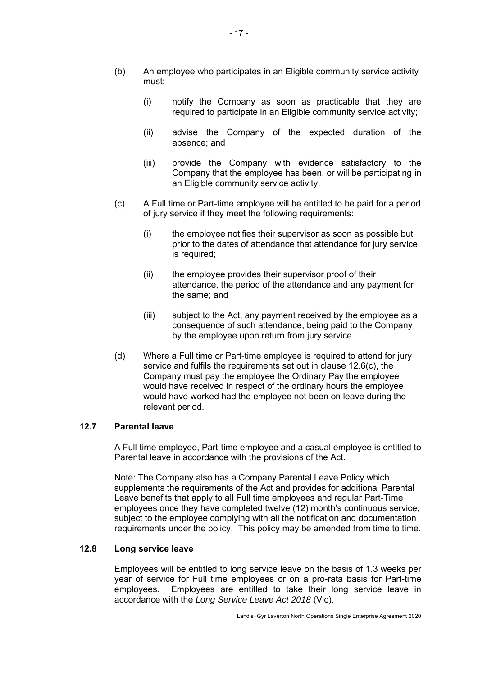- (b) An employee who participates in an Eligible community service activity must:
	- (i) notify the Company as soon as practicable that they are required to participate in an Eligible community service activity;
	- (ii) advise the Company of the expected duration of the absence; and
	- (iii) provide the Company with evidence satisfactory to the Company that the employee has been, or will be participating in an Eligible community service activity.
- (c) A Full time or Part-time employee will be entitled to be paid for a period of jury service if they meet the following requirements:
	- (i) the employee notifies their supervisor as soon as possible but prior to the dates of attendance that attendance for jury service is required;
	- (ii) the employee provides their supervisor proof of their attendance, the period of the attendance and any payment for the same; and
	- (iii) subject to the Act, any payment received by the employee as a consequence of such attendance, being paid to the Company by the employee upon return from jury service.
- (d) Where a Full time or Part-time employee is required to attend for jury service and fulfils the requirements set out in clause 12.6(c), the Company must pay the employee the Ordinary Pay the employee would have received in respect of the ordinary hours the employee would have worked had the employee not been on leave during the relevant period.

#### **12.7 Parental leave**

A Full time employee, Part-time employee and a casual employee is entitled to Parental leave in accordance with the provisions of the Act.

Note: The Company also has a Company Parental Leave Policy which supplements the requirements of the Act and provides for additional Parental Leave benefits that apply to all Full time employees and regular Part-Time employees once they have completed twelve (12) month's continuous service, subject to the employee complying with all the notification and documentation requirements under the policy. This policy may be amended from time to time.

#### **12.8 Long service leave**

Employees will be entitled to long service leave on the basis of 1.3 weeks per year of service for Full time employees or on a pro-rata basis for Part-time employees. Employees are entitled to take their long service leave in accordance with the *Long Service Leave Act 2018* (Vic).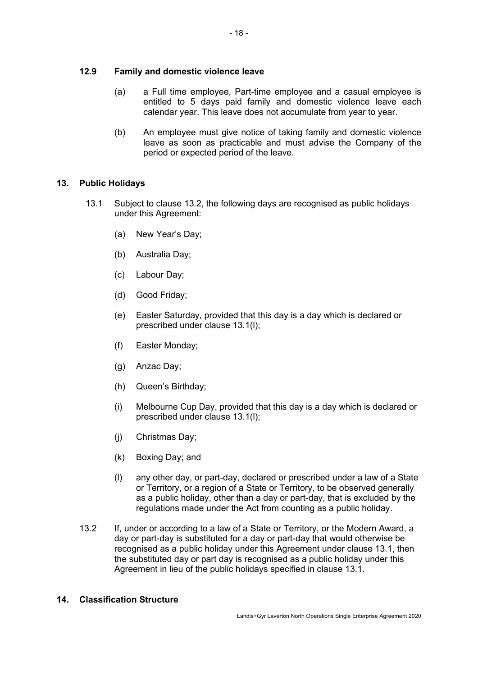#### **12.9 Family and domestic violence leave**

- (a) a Full time employee, Part-time employee and a casual employee is entitled to 5 days paid family and domestic violence leave each calendar year. This leave does not accumulate from year to year.
- (b) An employee must give notice of taking family and domestic violence leave as soon as practicable and must advise the Company of the period or expected period of the leave.

### **13. Public Holidays**

- 13.1 Subject to clause 13.2, the following days are recognised as public holidays under this Agreement:
	- (a) New Year's Day;
	- (b) Australia Day;
	- (c) Labour Day;
	- (d) Good Friday;
	- (e) Easter Saturday, provided that this day is a day which is declared or prescribed under clause 13.1(l);
	- (f) Easter Monday;
	- (g) Anzac Day;
	- (h) Queen's Birthday;
	- (i) Melbourne Cup Day, provided that this day is a day which is declared or prescribed under clause 13.1(l);
	- (j) Christmas Day;
	- (k) Boxing Day; and
	- (l) any other day, or part-day, declared or prescribed under a law of a State or Territory, or a region of a State or Territory, to be observed generally as a public holiday, other than a day or part-day, that is excluded by the regulations made under the Act from counting as a public holiday.
- 13.2 If, under or according to a law of a State or Territory, or the Modern Award, a day or part-day is substituted for a day or part-day that would otherwise be recognised as a public holiday under this Agreement under clause 13.1, then the substituted day or part day is recognised as a public holiday under this Agreement in lieu of the public holidays specified in clause 13.1.

### **14. Classification Structure**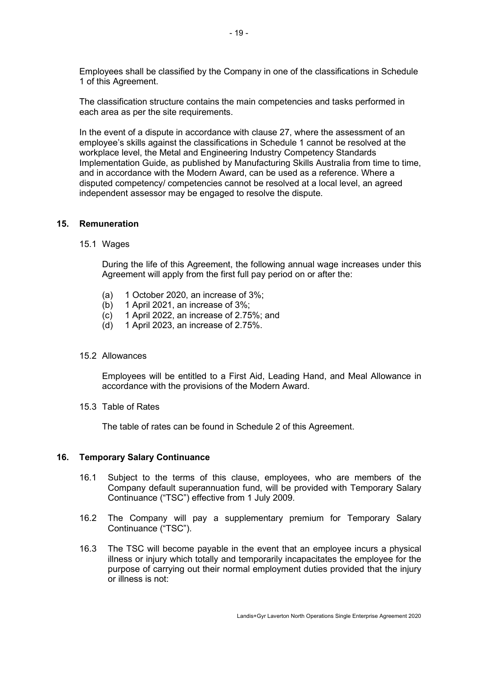Employees shall be classified by the Company in one of the classifications in Schedule 1 of this Agreement.

The classification structure contains the main competencies and tasks performed in each area as per the site requirements.

In the event of a dispute in accordance with clause 27, where the assessment of an employee's skills against the classifications in Schedule 1 cannot be resolved at the workplace level, the Metal and Engineering Industry Competency Standards Implementation Guide, as published by Manufacturing Skills Australia from time to time, and in accordance with the Modern Award, can be used as a reference. Where a disputed competency/ competencies cannot be resolved at a local level, an agreed independent assessor may be engaged to resolve the dispute.

#### **15. Remuneration**

#### 15.1 Wages

During the life of this Agreement, the following annual wage increases under this Agreement will apply from the first full pay period on or after the:

- (a) 1 October 2020, an increase of 3%;
- (b) 1 April 2021, an increase of 3%;
- (c) 1 April 2022, an increase of 2.75%; and
- (d) 1 April 2023, an increase of 2.75%.

#### 15.2 Allowances

Employees will be entitled to a First Aid, Leading Hand, and Meal Allowance in accordance with the provisions of the Modern Award.

15.3 Table of Rates

The table of rates can be found in Schedule 2 of this Agreement.

#### **16. Temporary Salary Continuance**

- 16.1 Subject to the terms of this clause, employees, who are members of the Company default superannuation fund, will be provided with Temporary Salary Continuance ("TSC") effective from 1 July 2009.
- 16.2 The Company will pay a supplementary premium for Temporary Salary Continuance ("TSC").
- 16.3 The TSC will become payable in the event that an employee incurs a physical illness or injury which totally and temporarily incapacitates the employee for the purpose of carrying out their normal employment duties provided that the injury or illness is not: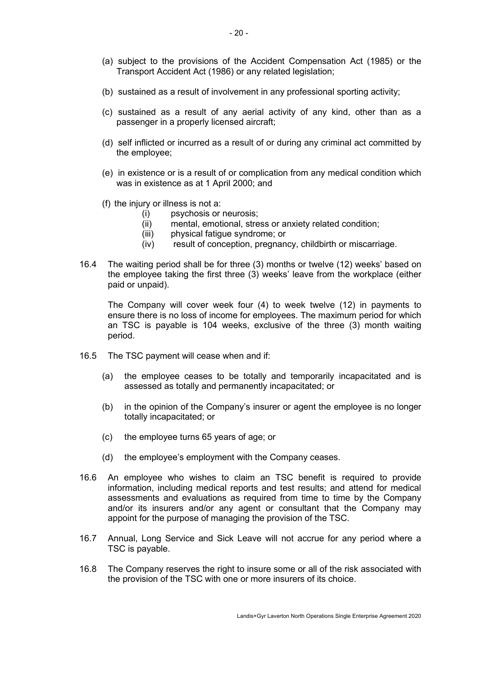- (a) subject to the provisions of the Accident Compensation Act (1985) or the Transport Accident Act (1986) or any related legislation;
- (b) sustained as a result of involvement in any professional sporting activity;
- (c) sustained as a result of any aerial activity of any kind, other than as a passenger in a properly licensed aircraft;
- (d) self inflicted or incurred as a result of or during any criminal act committed by the employee;
- (e) in existence or is a result of or complication from any medical condition which was in existence as at 1 April 2000; and
- (f) the injury or illness is not a:
	-
	- (i) psychosis or neurosis; mental, emotional, stress or anxiety related condition;
	- (iii) physical fatigue syndrome; or
	- (iv) result of conception, pregnancy, childbirth or miscarriage.
- 16.4 The waiting period shall be for three (3) months or twelve (12) weeks' based on the employee taking the first three (3) weeks' leave from the workplace (either paid or unpaid).

The Company will cover week four (4) to week twelve (12) in payments to ensure there is no loss of income for employees. The maximum period for which an TSC is payable is 104 weeks, exclusive of the three (3) month waiting period.

- 16.5 The TSC payment will cease when and if:
	- (a) the employee ceases to be totally and temporarily incapacitated and is assessed as totally and permanently incapacitated; or
	- (b) in the opinion of the Company's insurer or agent the employee is no longer totally incapacitated; or
	- (c) the employee turns 65 years of age; or
	- (d) the employee's employment with the Company ceases.
- 16.6 An employee who wishes to claim an TSC benefit is required to provide information, including medical reports and test results; and attend for medical assessments and evaluations as required from time to time by the Company and/or its insurers and/or any agent or consultant that the Company may appoint for the purpose of managing the provision of the TSC.
- 16.7 Annual, Long Service and Sick Leave will not accrue for any period where a TSC is payable.
- 16.8 The Company reserves the right to insure some or all of the risk associated with the provision of the TSC with one or more insurers of its choice.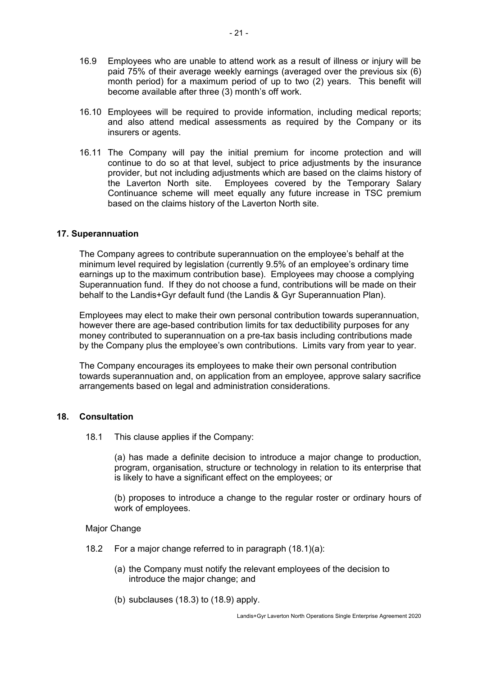- 16.9 Employees who are unable to attend work as a result of illness or injury will be paid 75% of their average weekly earnings (averaged over the previous six (6) month period) for a maximum period of up to two (2) years. This benefit will become available after three (3) month's off work.
- 16.10 Employees will be required to provide information, including medical reports; and also attend medical assessments as required by the Company or its insurers or agents.
- 16.11 The Company will pay the initial premium for income protection and will continue to do so at that level, subject to price adjustments by the insurance provider, but not including adjustments which are based on the claims history of the Laverton North site. Employees covered by the Temporary Salary Employees covered by the Temporary Salary Continuance scheme will meet equally any future increase in TSC premium based on the claims history of the Laverton North site.

#### **17. Superannuation**

The Company agrees to contribute superannuation on the employee's behalf at the minimum level required by legislation (currently 9.5% of an employee's ordinary time earnings up to the maximum contribution base). Employees may choose a complying Superannuation fund. If they do not choose a fund, contributions will be made on their behalf to the Landis+Gyr default fund (the Landis & Gyr Superannuation Plan).

Employees may elect to make their own personal contribution towards superannuation, however there are age-based contribution limits for tax deductibility purposes for any money contributed to superannuation on a pre-tax basis including contributions made by the Company plus the employee's own contributions. Limits vary from year to year.

The Company encourages its employees to make their own personal contribution towards superannuation and, on application from an employee, approve salary sacrifice arrangements based on legal and administration considerations.

#### **18. Consultation**

18.1 This clause applies if the Company:

(a) has made a definite decision to introduce a major change to production, program, organisation, structure or technology in relation to its enterprise that is likely to have a significant effect on the employees; or

(b) proposes to introduce a change to the regular roster or ordinary hours of work of employees.

#### Major Change

- 18.2 For a major change referred to in paragraph (18.1)(a):
	- (a) the Company must notify the relevant employees of the decision to introduce the major change; and
	- (b) subclauses (18.3) to (18.9) apply.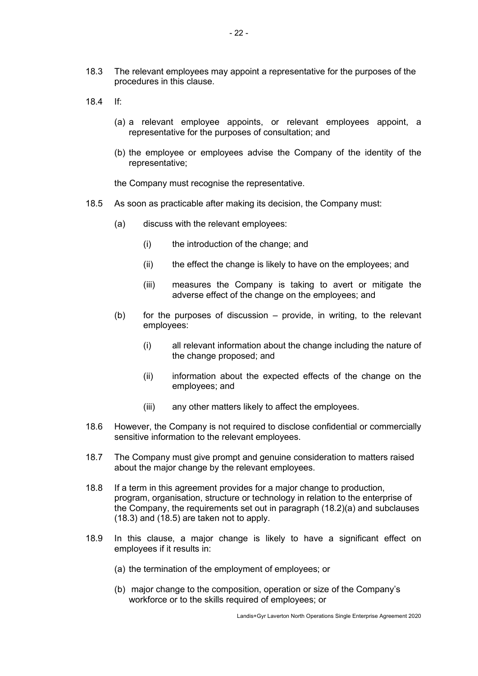- 18.3 The relevant employees may appoint a representative for the purposes of the procedures in this clause.
- 18.4 If:
	- (a) a relevant employee appoints, or relevant employees appoint, a representative for the purposes of consultation; and
	- (b) the employee or employees advise the Company of the identity of the representative;

the Company must recognise the representative.

- 18.5 As soon as practicable after making its decision, the Company must:
	- (a) discuss with the relevant employees:
		- (i) the introduction of the change; and
		- (ii) the effect the change is likely to have on the employees; and
		- (iii) measures the Company is taking to avert or mitigate the adverse effect of the change on the employees; and
	- (b) for the purposes of discussion provide, in writing, to the relevant employees:
		- (i) all relevant information about the change including the nature of the change proposed; and
		- (ii) information about the expected effects of the change on the employees; and
		- (iii) any other matters likely to affect the employees.
- 18.6 However, the Company is not required to disclose confidential or commercially sensitive information to the relevant employees.
- 18.7 The Company must give prompt and genuine consideration to matters raised about the major change by the relevant employees.
- 18.8 If a term in this agreement provides for a major change to production, program, organisation, structure or technology in relation to the enterprise of the Company, the requirements set out in paragraph (18.2)(a) and subclauses (18.3) and (18.5) are taken not to apply.
- 18.9 In this clause, a major change is likely to have a significant effect on employees if it results in:
	- (a) the termination of the employment of employees; or
	- (b) major change to the composition, operation or size of the Company's workforce or to the skills required of employees; or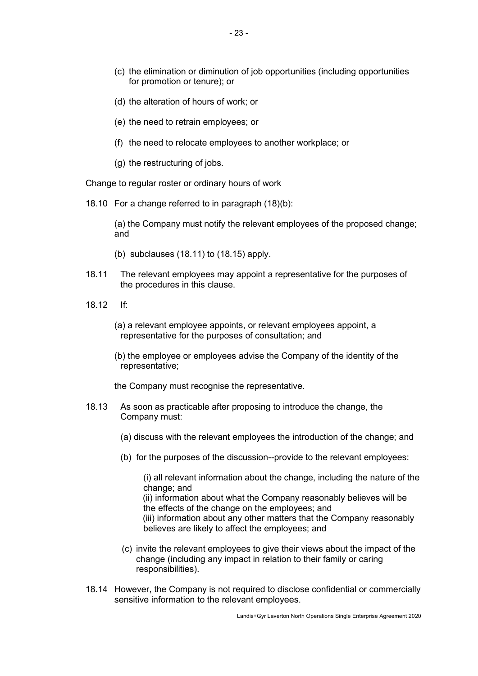- (c) the elimination or diminution of job opportunities (including opportunities for promotion or tenure); or
- (d) the alteration of hours of work; or
- (e) the need to retrain employees; or
- (f) the need to relocate employees to another workplace; or
- (g) the restructuring of jobs.

Change to regular roster or ordinary hours of work

18.10 For a change referred to in paragraph (18)(b):

(a) the Company must notify the relevant employees of the proposed change; and

- (b) subclauses (18.11) to (18.15) apply.
- 18.11 The relevant employees may appoint a representative for the purposes of the procedures in this clause.
- 18.12 If:
	- (a) a relevant employee appoints, or relevant employees appoint, a representative for the purposes of consultation; and
	- (b) the employee or employees advise the Company of the identity of the representative;
	- the Company must recognise the representative.
- 18.13 As soon as practicable after proposing to introduce the change, the Company must:
	- (a) discuss with the relevant employees the introduction of the change; and
	- (b) for the purposes of the discussion--provide to the relevant employees:

(i) all relevant information about the change, including the nature of the change; and

 (ii) information about what the Company reasonably believes will be the effects of the change on the employees; and

 (iii) information about any other matters that the Company reasonably believes are likely to affect the employees; and

- (c) invite the relevant employees to give their views about the impact of the change (including any impact in relation to their family or caring responsibilities).
- 18.14 However, the Company is not required to disclose confidential or commercially sensitive information to the relevant employees.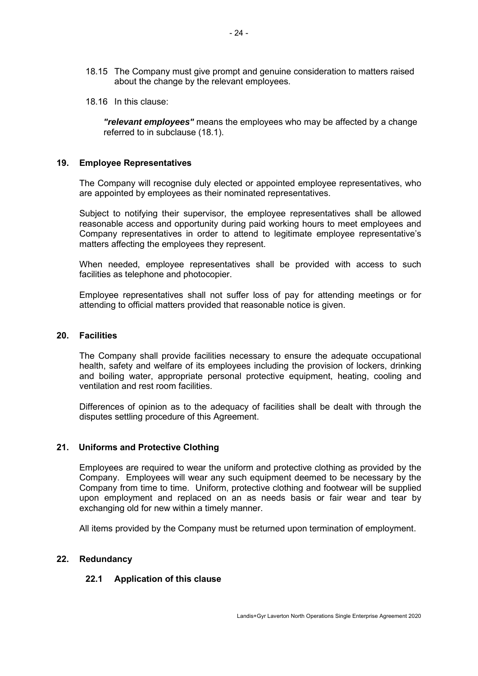- 18.15 The Company must give prompt and genuine consideration to matters raised about the change by the relevant employees.
- 18.16 In this clause:

*"relevant employees"* means the employees who may be affected by a change referred to in subclause (18.1).

#### **19. Employee Representatives**

The Company will recognise duly elected or appointed employee representatives, who are appointed by employees as their nominated representatives.

Subject to notifying their supervisor, the employee representatives shall be allowed reasonable access and opportunity during paid working hours to meet employees and Company representatives in order to attend to legitimate employee representative's matters affecting the employees they represent.

When needed, employee representatives shall be provided with access to such facilities as telephone and photocopier.

Employee representatives shall not suffer loss of pay for attending meetings or for attending to official matters provided that reasonable notice is given.

#### **20. Facilities**

The Company shall provide facilities necessary to ensure the adequate occupational health, safety and welfare of its employees including the provision of lockers, drinking and boiling water, appropriate personal protective equipment, heating, cooling and ventilation and rest room facilities.

Differences of opinion as to the adequacy of facilities shall be dealt with through the disputes settling procedure of this Agreement.

#### **21. Uniforms and Protective Clothing**

Employees are required to wear the uniform and protective clothing as provided by the Company. Employees will wear any such equipment deemed to be necessary by the Company from time to time. Uniform, protective clothing and footwear will be supplied upon employment and replaced on an as needs basis or fair wear and tear by exchanging old for new within a timely manner.

All items provided by the Company must be returned upon termination of employment.

#### **22. Redundancy**

#### **22.1 Application of this clause**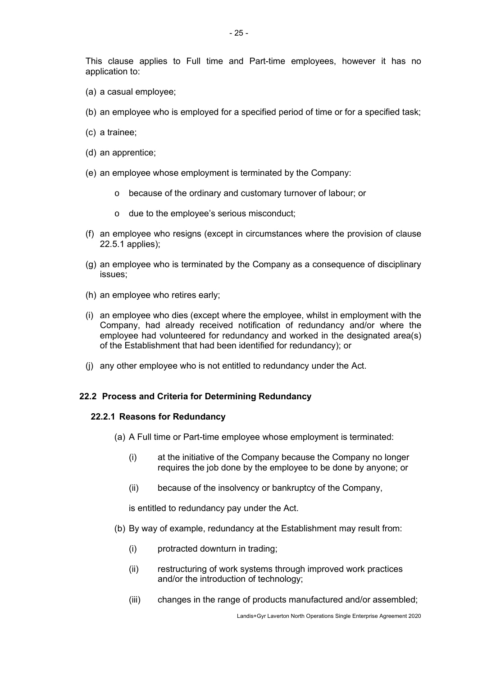This clause applies to Full time and Part-time employees, however it has no application to:

- (a) a casual employee;
- (b) an employee who is employed for a specified period of time or for a specified task;
- (c) a trainee;
- (d) an apprentice;
- (e) an employee whose employment is terminated by the Company:
	- o because of the ordinary and customary turnover of labour; or
	- o due to the employee's serious misconduct;
- (f) an employee who resigns (except in circumstances where the provision of clause 22.5.1 applies);
- (g) an employee who is terminated by the Company as a consequence of disciplinary issues;
- (h) an employee who retires early;
- (i) an employee who dies (except where the employee, whilst in employment with the Company, had already received notification of redundancy and/or where the employee had volunteered for redundancy and worked in the designated area(s) of the Establishment that had been identified for redundancy); or
- (j) any other employee who is not entitled to redundancy under the Act.

#### **22.2 Process and Criteria for Determining Redundancy**

#### **22.2.1 Reasons for Redundancy**

- (a) A Full time or Part-time employee whose employment is terminated:
	- (i) at the initiative of the Company because the Company no longer requires the job done by the employee to be done by anyone; or
	- (ii) because of the insolvency or bankruptcy of the Company,

is entitled to redundancy pay under the Act.

- (b) By way of example, redundancy at the Establishment may result from:
	- (i) protracted downturn in trading;
	- (ii) restructuring of work systems through improved work practices and/or the introduction of technology;
	- (iii) changes in the range of products manufactured and/or assembled;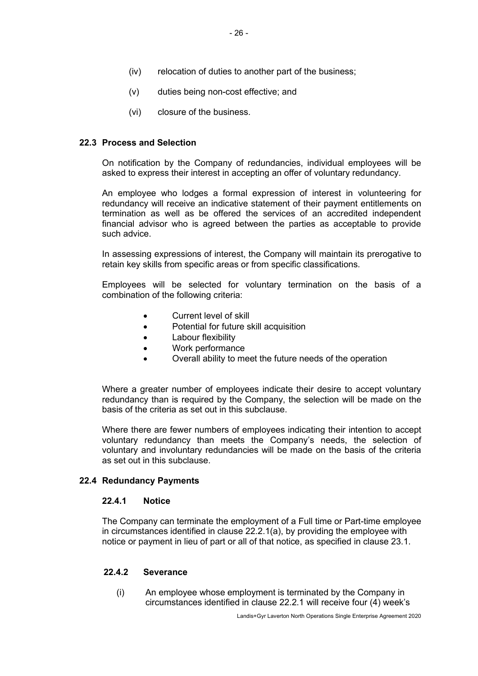- (iv) relocation of duties to another part of the business;
- (v) duties being non-cost effective; and
- (vi) closure of the business.

### **22.3 Process and Selection**

On notification by the Company of redundancies, individual employees will be asked to express their interest in accepting an offer of voluntary redundancy.

An employee who lodges a formal expression of interest in volunteering for redundancy will receive an indicative statement of their payment entitlements on termination as well as be offered the services of an accredited independent financial advisor who is agreed between the parties as acceptable to provide such advice.

In assessing expressions of interest, the Company will maintain its prerogative to retain key skills from specific areas or from specific classifications.

Employees will be selected for voluntary termination on the basis of a combination of the following criteria:

- Current level of skill
- Potential for future skill acquisition
- Labour flexibility
- Work performance
- Overall ability to meet the future needs of the operation

Where a greater number of employees indicate their desire to accept voluntary redundancy than is required by the Company, the selection will be made on the basis of the criteria as set out in this subclause.

Where there are fewer numbers of employees indicating their intention to accept voluntary redundancy than meets the Company's needs, the selection of voluntary and involuntary redundancies will be made on the basis of the criteria as set out in this subclause.

### **22.4 Redundancy Payments**

#### **22.4.1 Notice**

The Company can terminate the employment of a Full time or Part-time employee in circumstances identified in clause 22.2.1(a), by providing the employee with notice or payment in lieu of part or all of that notice, as specified in clause 23.1.

### **22.4.2 Severance**

(i) An employee whose employment is terminated by the Company in circumstances identified in clause 22.2.1 will receive four (4) week's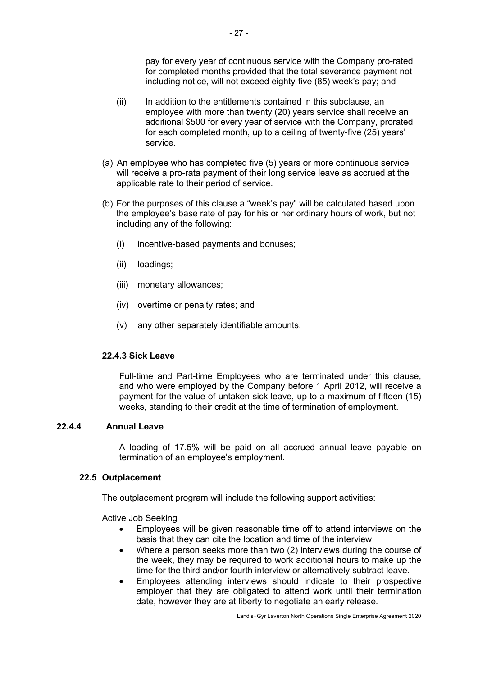pay for every year of continuous service with the Company pro-rated for completed months provided that the total severance payment not including notice, will not exceed eighty-five (85) week's pay; and

- (ii) In addition to the entitlements contained in this subclause, an employee with more than twenty (20) years service shall receive an additional \$500 for every year of service with the Company, prorated for each completed month, up to a ceiling of twenty-five (25) years' service.
- (a) An employee who has completed five (5) years or more continuous service will receive a pro-rata payment of their long service leave as accrued at the applicable rate to their period of service.
- (b) For the purposes of this clause a "week's pay" will be calculated based upon the employee's base rate of pay for his or her ordinary hours of work, but not including any of the following:
	- (i) incentive-based payments and bonuses;
	- (ii) loadings;
	- (iii) monetary allowances;
	- (iv) overtime or penalty rates; and
	- (v) any other separately identifiable amounts.

### **22.4.3 Sick Leave**

Full-time and Part-time Employees who are terminated under this clause, and who were employed by the Company before 1 April 2012, will receive a payment for the value of untaken sick leave, up to a maximum of fifteen (15) weeks, standing to their credit at the time of termination of employment.

## **22.4.4 Annual Leave**

A loading of 17.5% will be paid on all accrued annual leave payable on termination of an employee's employment.

#### **22.5 Outplacement**

The outplacement program will include the following support activities:

Active Job Seeking

- Employees will be given reasonable time off to attend interviews on the basis that they can cite the location and time of the interview.
- Where a person seeks more than two (2) interviews during the course of the week, they may be required to work additional hours to make up the time for the third and/or fourth interview or alternatively subtract leave.
- Employees attending interviews should indicate to their prospective employer that they are obligated to attend work until their termination date, however they are at liberty to negotiate an early release.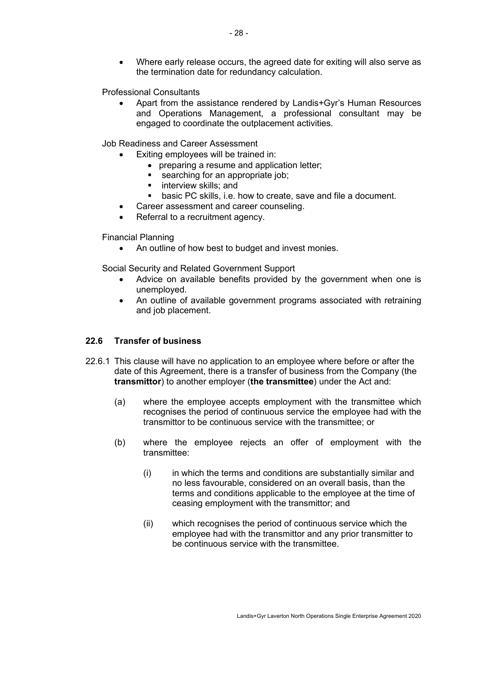• Where early release occurs, the agreed date for exiting will also serve as the termination date for redundancy calculation.

Professional Consultants

• Apart from the assistance rendered by Landis+Gyr's Human Resources and Operations Management, a professional consultant may be engaged to coordinate the outplacement activities.

Job Readiness and Career Assessment

- Exiting employees will be trained in:
	- preparing a resume and application letter;<br> $\bullet$  searching for an appropriate job:
	- searching for an appropriate job;
	- **·** interview skills; and
	- basic PC skills, i.e. how to create, save and file a document.
- Career assessment and career counseling.
- Referral to a recruitment agency.

Financial Planning

An outline of how best to budget and invest monies.

Social Security and Related Government Support

- Advice on available benefits provided by the government when one is unemployed.
- An outline of available government programs associated with retraining and job placement.

#### **22.6 Transfer of business**

- 22.6.1 This clause will have no application to an employee where before or after the date of this Agreement, there is a transfer of business from the Company (the **transmittor**) to another employer (**the transmittee**) under the Act and:
	- (a) where the employee accepts employment with the transmittee which recognises the period of continuous service the employee had with the transmittor to be continuous service with the transmittee; or
	- (b) where the employee rejects an offer of employment with the transmittee:
		- (i) in which the terms and conditions are substantially similar and no less favourable, considered on an overall basis, than the terms and conditions applicable to the employee at the time of ceasing employment with the transmittor; and
		- (ii) which recognises the period of continuous service which the employee had with the transmittor and any prior transmitter to be continuous service with the transmittee.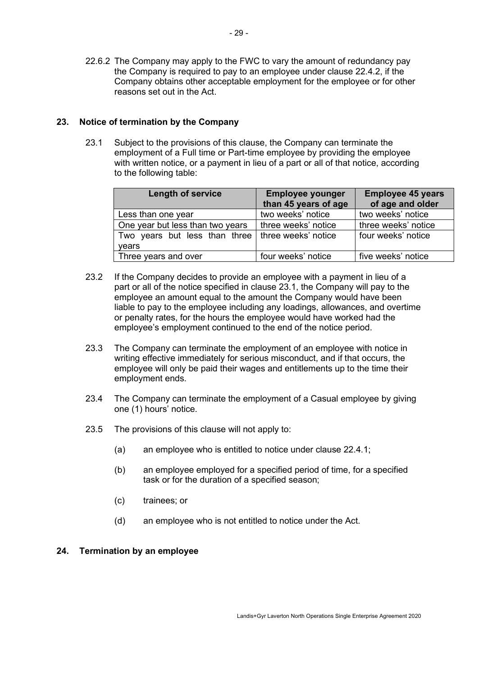22.6.2 The Company may apply to the FWC to vary the amount of redundancy pay the Company is required to pay to an employee under clause 22.4.2, if the Company obtains other acceptable employment for the employee or for other reasons set out in the Act.

### **23. Notice of termination by the Company**

23.1 Subject to the provisions of this clause, the Company can terminate the employment of a Full time or Part-time employee by providing the employee with written notice, or a payment in lieu of a part or all of that notice, according to the following table:

| <b>Length of service</b>                            | <b>Employee younger</b><br>than 45 years of age | <b>Employee 45 years</b><br>of age and older |
|-----------------------------------------------------|-------------------------------------------------|----------------------------------------------|
| Less than one year                                  | two weeks' notice                               | two weeks' notice                            |
| One year but less than two years                    | l three weeks' notice                           | three weeks' notice                          |
| Two years but less than three   three weeks' notice |                                                 | four weeks' notice                           |
| vears                                               |                                                 |                                              |
| Three years and over                                | four weeks' notice                              | five weeks' notice                           |

- 23.2 If the Company decides to provide an employee with a payment in lieu of a part or all of the notice specified in clause 23.1, the Company will pay to the employee an amount equal to the amount the Company would have been liable to pay to the employee including any loadings, allowances, and overtime or penalty rates, for the hours the employee would have worked had the employee's employment continued to the end of the notice period.
- 23.3 The Company can terminate the employment of an employee with notice in writing effective immediately for serious misconduct, and if that occurs, the employee will only be paid their wages and entitlements up to the time their employment ends.
- 23.4 The Company can terminate the employment of a Casual employee by giving one (1) hours' notice.
- 23.5 The provisions of this clause will not apply to:
	- (a) an employee who is entitled to notice under clause 22.4.1;
	- (b) an employee employed for a specified period of time, for a specified task or for the duration of a specified season;
	- (c) trainees; or
	- (d) an employee who is not entitled to notice under the Act.

# **24. Termination by an employee**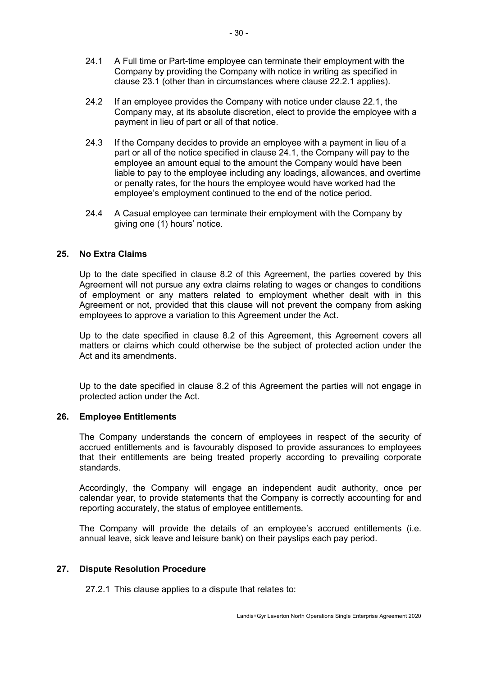- 24.1 A Full time or Part-time employee can terminate their employment with the Company by providing the Company with notice in writing as specified in clause 23.1 (other than in circumstances where clause 22.2.1 applies).
- 24.2 If an employee provides the Company with notice under clause 22.1, the Company may, at its absolute discretion, elect to provide the employee with a payment in lieu of part or all of that notice.
- 24.3 If the Company decides to provide an employee with a payment in lieu of a part or all of the notice specified in clause 24.1, the Company will pay to the employee an amount equal to the amount the Company would have been liable to pay to the employee including any loadings, allowances, and overtime or penalty rates, for the hours the employee would have worked had the employee's employment continued to the end of the notice period.
- 24.4 A Casual employee can terminate their employment with the Company by giving one (1) hours' notice.

#### **25. No Extra Claims**

Up to the date specified in clause 8.2 of this Agreement, the parties covered by this Agreement will not pursue any extra claims relating to wages or changes to conditions of employment or any matters related to employment whether dealt with in this Agreement or not, provided that this clause will not prevent the company from asking employees to approve a variation to this Agreement under the Act.

Up to the date specified in clause 8.2 of this Agreement, this Agreement covers all matters or claims which could otherwise be the subject of protected action under the Act and its amendments.

Up to the date specified in clause 8.2 of this Agreement the parties will not engage in protected action under the Act.

#### **26. Employee Entitlements**

The Company understands the concern of employees in respect of the security of accrued entitlements and is favourably disposed to provide assurances to employees that their entitlements are being treated properly according to prevailing corporate standards.

Accordingly, the Company will engage an independent audit authority, once per calendar year, to provide statements that the Company is correctly accounting for and reporting accurately, the status of employee entitlements.

The Company will provide the details of an employee's accrued entitlements (i.e. annual leave, sick leave and leisure bank) on their payslips each pay period.

#### **27. Dispute Resolution Procedure**

27.2.1 This clause applies to a dispute that relates to: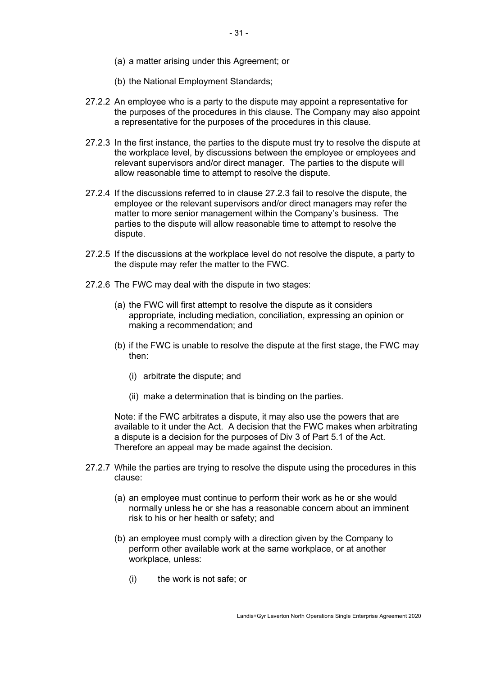- (a) a matter arising under this Agreement; or
- (b) the National Employment Standards;
- 27.2.2 An employee who is a party to the dispute may appoint a representative for the purposes of the procedures in this clause. The Company may also appoint a representative for the purposes of the procedures in this clause.
- 27.2.3 In the first instance, the parties to the dispute must try to resolve the dispute at the workplace level, by discussions between the employee or employees and relevant supervisors and/or direct manager. The parties to the dispute will allow reasonable time to attempt to resolve the dispute.
- 27.2.4 If the discussions referred to in clause 27.2.3 fail to resolve the dispute, the employee or the relevant supervisors and/or direct managers may refer the matter to more senior management within the Company's business. The parties to the dispute will allow reasonable time to attempt to resolve the dispute.
- 27.2.5 If the discussions at the workplace level do not resolve the dispute, a party to the dispute may refer the matter to the FWC.
- 27.2.6 The FWC may deal with the dispute in two stages:
	- (a) the FWC will first attempt to resolve the dispute as it considers appropriate, including mediation, conciliation, expressing an opinion or making a recommendation; and
	- (b) if the FWC is unable to resolve the dispute at the first stage, the FWC may then:
		- (i) arbitrate the dispute; and
		- (ii) make a determination that is binding on the parties.

Note: if the FWC arbitrates a dispute, it may also use the powers that are available to it under the Act. A decision that the FWC makes when arbitrating a dispute is a decision for the purposes of Div 3 of Part 5.1 of the Act. Therefore an appeal may be made against the decision.

- 27.2.7 While the parties are trying to resolve the dispute using the procedures in this clause:
	- (a) an employee must continue to perform their work as he or she would normally unless he or she has a reasonable concern about an imminent risk to his or her health or safety; and
	- (b) an employee must comply with a direction given by the Company to perform other available work at the same workplace, or at another workplace, unless:
		- (i) the work is not safe; or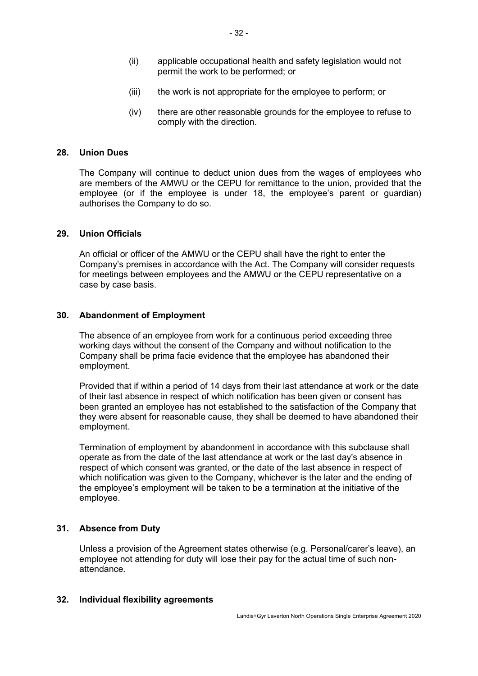- (ii) applicable occupational health and safety legislation would not permit the work to be performed; or
- (iii) the work is not appropriate for the employee to perform; or
- (iv) there are other reasonable grounds for the employee to refuse to comply with the direction.

#### **28. Union Dues**

The Company will continue to deduct union dues from the wages of employees who are members of the AMWU or the CEPU for remittance to the union, provided that the employee (or if the employee is under 18, the employee's parent or guardian) authorises the Company to do so.

#### **29. Union Officials**

An official or officer of the AMWU or the CEPU shall have the right to enter the Company's premises in accordance with the Act. The Company will consider requests for meetings between employees and the AMWU or the CEPU representative on a case by case basis.

#### **30. Abandonment of Employment**

The absence of an employee from work for a continuous period exceeding three working days without the consent of the Company and without notification to the Company shall be prima facie evidence that the employee has abandoned their employment.

Provided that if within a period of 14 days from their last attendance at work or the date of their last absence in respect of which notification has been given or consent has been granted an employee has not established to the satisfaction of the Company that they were absent for reasonable cause, they shall be deemed to have abandoned their employment.

Termination of employment by abandonment in accordance with this subclause shall operate as from the date of the last attendance at work or the last day's absence in respect of which consent was granted, or the date of the last absence in respect of which notification was given to the Company, whichever is the later and the ending of the employee's employment will be taken to be a termination at the initiative of the employee.

#### **31. Absence from Duty**

Unless a provision of the Agreement states otherwise (e.g. Personal/carer's leave), an employee not attending for duty will lose their pay for the actual time of such nonattendance.

#### **32. Individual flexibility agreements**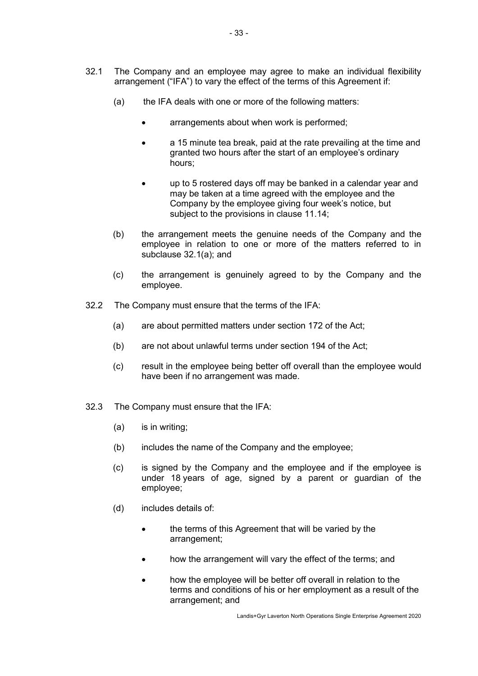- 32.1 The Company and an employee may agree to make an individual flexibility arrangement ("IFA") to vary the effect of the terms of this Agreement if:
	- (a) the IFA deals with one or more of the following matters:
		- arrangements about when work is performed;
		- a 15 minute tea break, paid at the rate prevailing at the time and granted two hours after the start of an employee's ordinary hours;
		- up to 5 rostered days off may be banked in a calendar year and may be taken at a time agreed with the employee and the Company by the employee giving four week's notice, but subject to the provisions in clause 11.14;
	- (b) the arrangement meets the genuine needs of the Company and the employee in relation to one or more of the matters referred to in subclause 32.1(a); and
	- (c) the arrangement is genuinely agreed to by the Company and the employee.
- 32.2 The Company must ensure that the terms of the IFA:
	- (a) are about permitted matters under section 172 of the Act;
	- (b) are not about unlawful terms under section 194 of the Act;
	- (c) result in the employee being better off overall than the employee would have been if no arrangement was made.
- 32.3 The Company must ensure that the IFA:
	- (a) is in writing;
	- (b) includes the name of the Company and the employee;
	- (c) is signed by the Company and the employee and if the employee is under 18 years of age, signed by a parent or guardian of the employee;
	- (d) includes details of:
		- the terms of this Agreement that will be varied by the arrangement;
		- how the arrangement will vary the effect of the terms; and
		- how the employee will be better off overall in relation to the terms and conditions of his or her employment as a result of the arrangement; and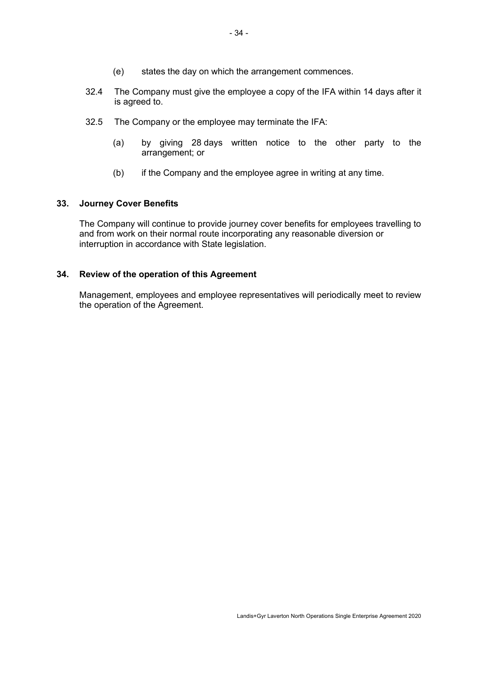- (e) states the day on which the arrangement commences.
- 32.4 The Company must give the employee a copy of the IFA within 14 days after it is agreed to.
- 32.5 The Company or the employee may terminate the IFA:
	- (a) by giving 28 days written notice to the other party to the arrangement; or
	- (b) if the Company and the employee agree in writing at any time.

#### **33. Journey Cover Benefits**

The Company will continue to provide journey cover benefits for employees travelling to and from work on their normal route incorporating any reasonable diversion or interruption in accordance with State legislation.

#### **34. Review of the operation of this Agreement**

Management, employees and employee representatives will periodically meet to review the operation of the Agreement.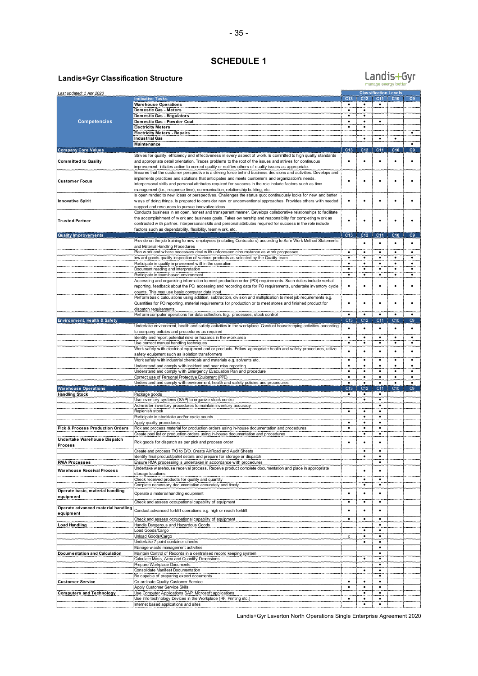#### **SCHEDULE 1**

#### **Landis+Gyr Classification Structure**

|                                                                                 | <b>SCHEDULE 1</b>                                                                                                                                                                                                                                                                                                                                                                                              |                        |                        |                        |                              |                 |
|---------------------------------------------------------------------------------|----------------------------------------------------------------------------------------------------------------------------------------------------------------------------------------------------------------------------------------------------------------------------------------------------------------------------------------------------------------------------------------------------------------|------------------------|------------------------|------------------------|------------------------------|-----------------|
| Landis+Gyr<br><b>Landis+Gyr Classification Structure</b><br>manage energy bette |                                                                                                                                                                                                                                                                                                                                                                                                                |                        |                        |                        |                              |                 |
| Last updated: 1 Apr 2020                                                        |                                                                                                                                                                                                                                                                                                                                                                                                                |                        |                        |                        | <b>Classification Levels</b> |                 |
|                                                                                 | <b>Indicative Tasks</b>                                                                                                                                                                                                                                                                                                                                                                                        | C <sub>13</sub>        | C <sub>12</sub>        | C <sub>11</sub>        | C10                          | C <sub>9</sub>  |
|                                                                                 | <b>Warehouse Operations</b><br>Domestic Gas - Meters                                                                                                                                                                                                                                                                                                                                                           | $\bullet$<br>$\bullet$ | $\bullet$<br>٠         | $\bullet$              |                              |                 |
|                                                                                 | Domestic Gas - Regulators                                                                                                                                                                                                                                                                                                                                                                                      | $\bullet$              | $\bullet$              |                        |                              |                 |
| <b>Competencies</b>                                                             | Domestic Gas - Powder Coat                                                                                                                                                                                                                                                                                                                                                                                     | $\bullet$              | ٠                      | $\bullet$              |                              |                 |
|                                                                                 | <b>Electricity Meters</b><br><b>Electricity Meters - Repairs</b>                                                                                                                                                                                                                                                                                                                                               | $\bullet$              | $\bullet$              |                        |                              | $\bullet$       |
|                                                                                 | <b>Industrial Gas</b>                                                                                                                                                                                                                                                                                                                                                                                          |                        | $\bullet$              | $\bullet$              | $\bullet$                    |                 |
| <b>Company Core Values</b>                                                      | Maintenance                                                                                                                                                                                                                                                                                                                                                                                                    | C <sub>13</sub>        | C12                    | C <sub>11</sub>        | C10                          | $\bullet$<br>C9 |
|                                                                                 | Strives for quality, efficiency and effectiveness in every aspect of work. Is committed to high quality standards                                                                                                                                                                                                                                                                                              |                        |                        |                        |                              |                 |
| <b>Committed to Quality</b>                                                     | and appropriate detail orientation. Traces problems to the root of the issues and strives for continuous                                                                                                                                                                                                                                                                                                       | $\bullet$              |                        | $\bullet$              | ٠                            |                 |
| <b>Customer Focus</b>                                                           | improvement. Initiates action to correct quality or notifies others of quality issues as appropriate.<br>Ensures that the customer perspective is a driving force behind business decisions and activities. Develops and<br>implements practices and solutions that anticipates and meets customer's and organization's needs.                                                                                 | $\bullet$              |                        | $\bullet$              | ٠                            | ٠               |
|                                                                                 | Interpersonal skills and personal attributes required for success in the role include factors such as time<br>management (i.e., response time), communication, relationship building, etc.<br>Is open minded to new ideas or perspectives. Challenges the status quo; continuously looks for new and better                                                                                                    |                        |                        |                        |                              |                 |
| <b>Innovative Spirit</b>                                                        | w ays of doing things. Is prepared to consider new or unconventional approaches. Provides others with needed<br>support and resources to pursue innovative ideas.                                                                                                                                                                                                                                              | $\bullet$              |                        | ٠                      | ٠                            |                 |
| <b>Trusted Partner</b>                                                          | Conducts business in an open, honest and transparent manner. Develops collaborative relationships to facilitate<br>the accomplishment of work and business goals. Takes ow nership and responsibility for completing work as<br>contracted with partner. Interpersonal skills and personal attributes required for success in the role include<br>factors such as dependability, flexibility, team w ork, etc. | $\bullet$              |                        | $\bullet$              | ٠                            |                 |
| <b>Quality Improvements</b>                                                     |                                                                                                                                                                                                                                                                                                                                                                                                                | C13                    | C12                    | C <sub>11</sub>        | C10                          | C9              |
|                                                                                 | Provide on the job training to new employees (including Contractors) according to Safe Work Method Statements                                                                                                                                                                                                                                                                                                  |                        | ٠                      | $\bullet$              | $\bullet$                    |                 |
|                                                                                 | and Material Handling Procedures<br>Plan w ork and w here necessary deal with unforeseen circumstance as w ork progresses                                                                                                                                                                                                                                                                                      | $\bullet$              | ٠                      | ٠                      | ٠                            | ٠               |
|                                                                                 | Inw ard goods quality inspection of various products as selected by the Quality team                                                                                                                                                                                                                                                                                                                           | $\bullet$              | $\bullet$              | $\bullet$              | $\bullet$                    | $\bullet$       |
|                                                                                 | Participate in quality improvement within the operation<br>Document reading and Interpretation                                                                                                                                                                                                                                                                                                                 | $\bullet$<br>$\bullet$ | ٠<br>٠                 | $\bullet$<br>٠         | $\bullet$<br>$\bullet$       | ٠<br>٠          |
|                                                                                 | Participate in team based environment                                                                                                                                                                                                                                                                                                                                                                          | $\bullet$              | $\bullet$              | $\bullet$              | $\bullet$                    | $\bullet$       |
|                                                                                 | Accessing and organising information to meet production order (PO) requirements. Such duties include verbal<br>reporting, feedback about the PO, accessing and recording data for PO requirements, undertake inventory cycle<br>counts. This may use basic computer data input.                                                                                                                                | $\bullet$              | ٠                      | $\bullet$              | ٠                            | ٠               |
|                                                                                 | Perform basic calculations using addition, subtraction, division and multiplication to meet job requirements e.g.<br>Quantities for PO reporting, material requirements for production or to meet stores and finished product for                                                                                                                                                                              |                        |                        |                        |                              |                 |
|                                                                                 | dispatch requirements.<br>Perform computer operations for data collection. E.g. processes, stock control                                                                                                                                                                                                                                                                                                       | $\bullet$              | ٠                      | $\bullet$              | $\bullet$                    | ٠               |
| Environment, Health & Safety                                                    |                                                                                                                                                                                                                                                                                                                                                                                                                | C13                    | C12                    | C <sub>11</sub>        | C10                          | C9              |
|                                                                                 | Undertake environment, health and safety activities in the w orkplace. Conduct housekeeping activities according<br>to company policies and procedures as required                                                                                                                                                                                                                                             | $\bullet$              |                        | $\bullet$              | $\bullet$                    |                 |
|                                                                                 | Identify and report potential risks or hazards in the work area                                                                                                                                                                                                                                                                                                                                                | $\bullet$              | ٠                      | $\bullet$              | $\bullet$                    | $\bullet$       |
|                                                                                 | Use correct manual handling techniques                                                                                                                                                                                                                                                                                                                                                                         | $\bullet$              | ٠                      | $\bullet$              | $\bullet$                    | ٠               |
|                                                                                 | Work safely with electrical equipment and or products. Follow appropriate health and safety procedures, utilize                                                                                                                                                                                                                                                                                                | $\bullet$              | ٠                      | $\bullet$              | ٠                            | ٠               |
|                                                                                 | safety equipment such as isolation transformers<br>Work safely with industrial chemicals and materials e.g. solvents etc.                                                                                                                                                                                                                                                                                      | $\bullet$              | ٠                      | $\bullet$              | $\bullet$                    | ٠               |
|                                                                                 | Understand and comply with incident and near miss reporting                                                                                                                                                                                                                                                                                                                                                    | $\bullet$              | ٠                      | $\bullet$              | $\bullet$                    | ٠               |
|                                                                                 | Understand and comply with Emergency Evacuation Plan and procedure                                                                                                                                                                                                                                                                                                                                             | $\bullet$              | $\bullet$              | $\bullet$              | $\bullet$                    | $\bullet$       |
|                                                                                 | Correct use of Personal Protective Equipment (PPE)<br>Understand and comply with environment, health and safety policies and procedures                                                                                                                                                                                                                                                                        | $\bullet$<br>$\bullet$ | $\bullet$<br>$\bullet$ | $\bullet$<br>$\bullet$ | $\bullet$<br>$\bullet$       | ٠<br>٠          |
| <b>Warehouse Operations</b>                                                     |                                                                                                                                                                                                                                                                                                                                                                                                                | C13                    | C12                    | C11                    | C10                          | C9              |
| <b>Handling Stock</b>                                                           | Package goods                                                                                                                                                                                                                                                                                                                                                                                                  | ٠                      | ٠                      | ٠                      |                              |                 |
|                                                                                 | Use inventory systems (SAP) to organize stock control                                                                                                                                                                                                                                                                                                                                                          |                        | $\bullet$              | $\bullet$<br>٠         |                              |                 |
|                                                                                 | Administer inventory procedures to maintain inventory accuracy<br>Replenish stock                                                                                                                                                                                                                                                                                                                              | $\bullet$              | ٠                      | ٠                      |                              |                 |
|                                                                                 | Participate in stocktake and/or cycle counts                                                                                                                                                                                                                                                                                                                                                                   |                        | $\bullet$              | $\bullet$              |                              |                 |
|                                                                                 | Apply quality procedures                                                                                                                                                                                                                                                                                                                                                                                       | $\bullet$              | ٠                      | $\bullet$              |                              |                 |
| <b>Pick &amp; Process Production Orders</b>                                     | Pick and process material for production orders using in-house documentation and procedures<br>Create pool list or production orders using in-house documentation and procedures                                                                                                                                                                                                                               | $\bullet$              | $\bullet$<br>$\bullet$ | $\bullet$<br>$\bullet$ |                              |                 |
| Undertake Warehouse Dispatch                                                    | Pick goods for dispatch as per pick and process order                                                                                                                                                                                                                                                                                                                                                          | $\bullet$              |                        |                        |                              |                 |
| <b>Process</b>                                                                  |                                                                                                                                                                                                                                                                                                                                                                                                                |                        | $\bullet$              | $\bullet$              |                              |                 |
|                                                                                 | Create and process T/O to D/O. Create AirRoad and Audit Sheets<br>Identify final product/pallet details and prepare for storage or dispatch                                                                                                                                                                                                                                                                    |                        | ٠                      | $\bullet$              |                              |                 |
| <b>RMA Processes</b>                                                            | Ensure RMA processing is undertaken in accordance with procedures                                                                                                                                                                                                                                                                                                                                              |                        |                        | $\bullet$              |                              |                 |
| <b>Warehouse Receival Process</b>                                               | Undertake w arehouse receival process. Receive product complete documentation and place in appropriate                                                                                                                                                                                                                                                                                                         |                        |                        |                        |                              |                 |
|                                                                                 | storage locations<br>Check received products for quality and quantity                                                                                                                                                                                                                                                                                                                                          |                        | $\bullet$              | $\bullet$              |                              |                 |
|                                                                                 | Complete necessary documentation accurately and timely                                                                                                                                                                                                                                                                                                                                                         |                        | ٠                      | $\bullet$              |                              |                 |
| Operate basic, material handling<br>equipment                                   | Operate a material handling equipment<br>Check and assess occupational capability of equipment                                                                                                                                                                                                                                                                                                                 | $\bullet$<br>$\bullet$ | ٠<br>$\bullet$         | $\bullet$<br>$\bullet$ |                              |                 |
| Operate advanced material handling                                              |                                                                                                                                                                                                                                                                                                                                                                                                                |                        |                        |                        |                              |                 |
| equipment                                                                       | Conduct advanced forklift operations e.g. high or reach forklift                                                                                                                                                                                                                                                                                                                                               |                        |                        |                        |                              |                 |
|                                                                                 | Check and assess occupational capability of equipment                                                                                                                                                                                                                                                                                                                                                          | $\bullet$              | $\bullet$              | $\bullet$              |                              |                 |
| <b>Load Handling</b>                                                            | Handle Dangerous and Hazardous Goods<br>Load Goods/Cargo                                                                                                                                                                                                                                                                                                                                                       |                        | $\bullet$              | $\bullet$<br>$\bullet$ |                              |                 |
|                                                                                 | Unload Goods/Cargo                                                                                                                                                                                                                                                                                                                                                                                             | x                      | $\bullet$              | $\bullet$              |                              |                 |
|                                                                                 | Undertake 7 point container checks                                                                                                                                                                                                                                                                                                                                                                             |                        | $\bullet$              | $\bullet$              |                              |                 |
| <b>Documentation and Calculation</b>                                            | Manage w aste management activities<br>Maintain Control of Records in a centralised record keeping system                                                                                                                                                                                                                                                                                                      |                        |                        | $\bullet$<br>$\bullet$ |                              |                 |
|                                                                                 | Calculate Mass, Area and Quantify Dimensions                                                                                                                                                                                                                                                                                                                                                                   |                        | $\bullet$              | $\bullet$              |                              |                 |
|                                                                                 | Prepare Workplace Documents                                                                                                                                                                                                                                                                                                                                                                                    |                        |                        | $\bullet$              |                              |                 |
|                                                                                 |                                                                                                                                                                                                                                                                                                                                                                                                                |                        | $\bullet$              | $\bullet$              |                              |                 |
|                                                                                 | Consolidate Manifest Documentation                                                                                                                                                                                                                                                                                                                                                                             |                        |                        |                        |                              |                 |
|                                                                                 | Be capable of preparing export documents                                                                                                                                                                                                                                                                                                                                                                       |                        |                        | ٠                      |                              |                 |
| <b>Customer Service</b>                                                         | Co-ordinate Quality Customer Service<br>Apply Customer Service Skills                                                                                                                                                                                                                                                                                                                                          | $\bullet$<br>$\bullet$ | ٠<br>$\bullet$         | $\bullet$<br>$\bullet$ |                              |                 |
| <b>Computers and Technology</b>                                                 | Use Computer Applications SAP, Microsoft applications                                                                                                                                                                                                                                                                                                                                                          |                        | ٠                      | ٠                      |                              |                 |
|                                                                                 | Use Info technology Devices in the Workplace (RF, Printing etc.)<br>Internet based applications and sites                                                                                                                                                                                                                                                                                                      | $\bullet$              | $\bullet$              | $\bullet$<br>$\bullet$ |                              |                 |

Landis+Gyr Laverton North Operations Single Enterprise Agreement 2020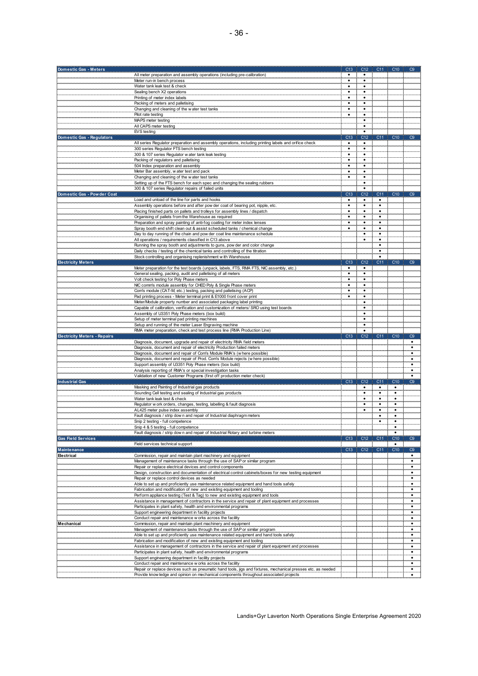|                                     | All meter preparation and assembly operations (including pre-calibration)                                                                                                                              | ٠                      | $\bullet$              |                        |                |                        |
|-------------------------------------|--------------------------------------------------------------------------------------------------------------------------------------------------------------------------------------------------------|------------------------|------------------------|------------------------|----------------|------------------------|
|                                     | Meter run-in bench process                                                                                                                                                                             | $\bullet$              |                        |                        |                |                        |
|                                     | Water tank leak test & check                                                                                                                                                                           | $\bullet$              | $\bullet$              |                        |                |                        |
|                                     | Sealing bench X2 operations                                                                                                                                                                            | $\bullet$              | $\bullet$              |                        |                |                        |
|                                     | Printing of meter index labels                                                                                                                                                                         | $\bullet$              | ٠                      |                        |                |                        |
|                                     | Packing of meters and palletising<br>Changing and cleaning of the w ater test tanks                                                                                                                    | $\bullet$<br>$\bullet$ | $\bullet$<br>$\bullet$ |                        |                |                        |
|                                     | Pilot rate testing                                                                                                                                                                                     | $\bullet$              | $\bullet$              |                        |                |                        |
|                                     | MAPS meter testing                                                                                                                                                                                     |                        | $\bullet$              |                        |                |                        |
|                                     | All CAPS meter testing                                                                                                                                                                                 |                        | $\bullet$              |                        |                |                        |
|                                     | EVS testing                                                                                                                                                                                            |                        | $\bullet$              |                        |                |                        |
| Domestic Gas - Regulators           |                                                                                                                                                                                                        | C13                    | C12                    |                        | $C11$ $C10$    | C9                     |
|                                     | All series Regulator preparation and assembly operations, including printing labels and orifice check                                                                                                  | $\bullet$              | $\bullet$              |                        |                |                        |
|                                     | 300 series Regulator FTS bench testing                                                                                                                                                                 | $\bullet$              | $\bullet$              |                        |                |                        |
|                                     | 300 & 107 series Regulator w ater tank leak testing                                                                                                                                                    | $\bullet$              | $\bullet$              |                        |                |                        |
|                                     | Packing of regulators and palletising                                                                                                                                                                  | $\bullet$              |                        |                        |                |                        |
|                                     | 504 Index preparation and assembly<br>Meter Bar assembly, w ater test and pack                                                                                                                         | $\bullet$<br>٠         | $\bullet$<br>$\bullet$ |                        |                |                        |
|                                     | Changing and cleaning of the w ater test tanks                                                                                                                                                         | $\bullet$              | $\bullet$              |                        |                |                        |
|                                     | Setting up of the FTS bench for each spec and changing the sealing rubbers                                                                                                                             |                        | $\bullet$              |                        |                |                        |
|                                     | 300 & 107 series Regulator repairs of failed units                                                                                                                                                     |                        | $\bullet$              |                        |                |                        |
| Domestic Gas - Powder Coat          |                                                                                                                                                                                                        | C13                    | C12                    |                        | $C11$ $C10$    | C9                     |
|                                     | Load and unload of the line for parts and hooks                                                                                                                                                        | $\bullet$              | $\bullet$              | $\bullet$              |                |                        |
|                                     | Assembly operations before and after pow der coat of bearing pot, nipple, etc.                                                                                                                         | $\bullet$              | $\bullet$              | $\bullet$              |                |                        |
|                                     | Placing finished parts on pallets and trolleys for assembly lines / dispatch                                                                                                                           | ٠                      | ٠                      | ٠                      |                |                        |
|                                     | Organising of pallets from the Warehouse as required                                                                                                                                                   | $\bullet$              | $\bullet$              | $\bullet$              |                |                        |
|                                     | Preparation and spray painting of anti-fog coating for meter index lenses                                                                                                                              | $\bullet$              |                        | $\bullet$              |                |                        |
|                                     | Spray booth end shift clean out & assist scheduled tanks / chemical change                                                                                                                             | $\bullet$              | $\bullet$              | $\bullet$              |                |                        |
|                                     | Day to day running of the chain and pow der coat line maintenance schedule                                                                                                                             |                        | ٠                      | $\bullet$<br>$\bullet$ |                |                        |
|                                     | All operations / requirements classified in C13 above<br>Running the spray booth and adjustments to guns, pow der and color change                                                                     |                        |                        | $\bullet$              |                |                        |
|                                     | Daily checks / testing of the chemical tanks and controlling of the titration                                                                                                                          |                        |                        | $\bullet$              |                |                        |
|                                     | Stock controlling and organising replenishment with Warehouse                                                                                                                                          |                        |                        | $\bullet$              |                |                        |
| <b>Electricity Meters</b>           |                                                                                                                                                                                                        | C13                    | C12                    | C11                    | C10            | C9                     |
|                                     | Meter preparation for the test boards (unpack, labels, FTS, RMA FTS, NIC assembly, etc.)                                                                                                               | $\bullet$              | $\bullet$              |                        |                |                        |
|                                     | General sealing, packing, audit and palletising of all meters                                                                                                                                          | $\bullet$              | ٠                      |                        |                |                        |
|                                     | Volt check testing for Poly Phase meters                                                                                                                                                               | $\bullet$              | $\bullet$              |                        |                |                        |
|                                     | NIC comm's module assembly for CHED Poly & Single Phase meters                                                                                                                                         | $\bullet$              | ٠                      |                        |                |                        |
|                                     | Com's module (CAT-M, etc.) testing, packing and palletising (ACP)                                                                                                                                      | $\bullet$              | ٠                      |                        |                |                        |
|                                     | Pad printing process - Meter terminal print & E1000 front cover print                                                                                                                                  | $\bullet$              | $\bullet$              |                        |                |                        |
|                                     | Meter/Module property number and associated packaging label printing                                                                                                                                   |                        |                        |                        |                |                        |
|                                     | Capable of calibration, verification and customization of meters/ SRO using test boards                                                                                                                |                        | $\bullet$<br>$\bullet$ |                        |                |                        |
|                                     | Assembly of U3351 Poly Phase meters (box build)<br>Setup of meter terminal pad printing machines                                                                                                       |                        | ٠                      |                        |                |                        |
|                                     | Setup and running of the meter Laser Engraving machine                                                                                                                                                 |                        | $\bullet$              |                        |                |                        |
|                                     |                                                                                                                                                                                                        |                        |                        |                        |                |                        |
|                                     | RMA meter preparation, check and test process line (RMA Production Line)                                                                                                                               |                        | $\bullet$              |                        |                |                        |
| <b>Electricity Meters - Repairs</b> |                                                                                                                                                                                                        | C13                    | C12                    | C11                    | C10            | C9                     |
|                                     | Diagnosis, document, upgrade and repair of electricity RMA field meters                                                                                                                                |                        |                        |                        |                | $\bullet$              |
|                                     | Diagnosis, document and repair of electricity Production failed meters                                                                                                                                 |                        |                        |                        |                | ٠                      |
|                                     | Diagnosis, document and repair of Com's Module RMA's (w here possible)                                                                                                                                 |                        |                        |                        |                | ٠                      |
|                                     | Diagnosis, document and repair of Prod. Com's Module rejects (w here possible)                                                                                                                         |                        |                        |                        |                | $\bullet$              |
|                                     | Support assembly of U3351 Poly Phase meters (box build)                                                                                                                                                |                        |                        |                        |                | $\bullet$              |
|                                     | Analysis reporting of RMA's or special investigation tasks                                                                                                                                             |                        |                        |                        |                | $\bullet$              |
|                                     | Validation of new Customer Programs (first off production meter check)                                                                                                                                 |                        |                        |                        |                | $\bullet$              |
| <b>Industrial Gas</b>               |                                                                                                                                                                                                        | C13                    | C12                    | C11                    | C10            | C9                     |
|                                     | Masking and Painting of Industrial gas products                                                                                                                                                        |                        | $\bullet$<br>$\bullet$ | $\bullet$<br>٠         | $\bullet$<br>٠ |                        |
|                                     | Sounding Cell testing and sealing of Industrial gas products                                                                                                                                           |                        | $\bullet$              | $\bullet$              | $\bullet$      |                        |
|                                     | Water tank leak test & check<br>Regulator w ork orders, changes, testing, labelling & fault diagnosis                                                                                                  |                        | ٠                      | $\bullet$              | $\bullet$      |                        |
|                                     | AL425 meter pulse index assembly                                                                                                                                                                       |                        | ٠                      | $\bullet$              | $\bullet$      |                        |
|                                     | Fault diagnosis / strip down and repair of Industrial diaphragm meters                                                                                                                                 |                        |                        | $\bullet$              | ٠              |                        |
|                                     | Snip 2 testing - full competence                                                                                                                                                                       |                        |                        | $\bullet$              | $\bullet$      |                        |
|                                     | Snip 4 & 5 testing - full competence                                                                                                                                                                   |                        |                        |                        | ٠              |                        |
|                                     | Fault diagnosis / strip down and repair of Industrial Rotary and turbine meters                                                                                                                        |                        |                        |                        | $\bullet$      |                        |
| <b>Gas Field Services</b>           |                                                                                                                                                                                                        | C13                    | C12                    | C <sub>11</sub>        | C10            | C9                     |
|                                     | Field services technical support                                                                                                                                                                       |                        |                        |                        | $\bullet$      |                        |
| Maintenance                         |                                                                                                                                                                                                        | C13                    | C12                    | C <sub>11</sub>        | C10            | C9                     |
| <b>Electrical</b>                   | Commission, repair and maintain plant machinery and equipment                                                                                                                                          |                        |                        |                        |                | $\bullet$              |
|                                     | Management of maintenance tasks through the use of SAP or similar program                                                                                                                              |                        |                        |                        |                | $\bullet$<br>$\bullet$ |
|                                     | Repair or replace electrical devices and control components<br>Design, construction and documentation of electrical control cabinets/boxes for new testing equipment                                   |                        |                        |                        |                | $\bullet$              |
|                                     | Repair or replace control devices as needed                                                                                                                                                            |                        |                        |                        |                | $\bullet$              |
|                                     | Able to set up and proficiently use maintenance related equipment and hand tools safely                                                                                                                |                        |                        |                        |                | $\bullet$              |
|                                     | Fabrication and modification of new and existing equipment and tooling                                                                                                                                 |                        |                        |                        |                | $\bullet$              |
|                                     | Perform appliance testing (Test & Tag) to new and existing equipment and tools                                                                                                                         |                        |                        |                        |                | $\bullet$              |
|                                     | Assistance in management of contractors in the service and repair of plant equipment and processes                                                                                                     |                        |                        |                        |                | $\bullet$              |
|                                     | Participates in plant safety, health and environmental programs                                                                                                                                        |                        |                        |                        |                | ٠                      |
|                                     | Support engineering department in facility projects                                                                                                                                                    |                        |                        |                        |                | ٠                      |
|                                     | Conduct repair and maintenance works across the facility                                                                                                                                               |                        |                        |                        |                | ٠                      |
| Mechanical                          | Commission, repair and maintain plant machinery and equipment                                                                                                                                          |                        |                        |                        |                | $\bullet$              |
|                                     | Management of maintenance tasks through the use of SAP or similar program                                                                                                                              |                        |                        |                        |                | $\bullet$<br>٠         |
|                                     | Able to set up and proficiently use maintenance related equipment and hand tools safely                                                                                                                |                        |                        |                        |                | $\bullet$              |
|                                     | Fabrication and modification of new and existing equipment and tooling<br>Assistance in management of contractors in the service and repair of plant equipment and processes                           |                        |                        |                        |                | $\bullet$              |
|                                     | Participates in plant safety, health and environmental programs                                                                                                                                        |                        |                        |                        |                | $\bullet$              |
|                                     | Support engineering department in facility projects                                                                                                                                                    |                        |                        |                        |                | $\bullet$              |
|                                     | Conduct repair and maintenance works across the facility                                                                                                                                               |                        |                        |                        |                | $\bullet$              |
|                                     | Repair or replace devices such as pneumatic hand tools, jigs and fixtures, mechanical presses etc. as needed<br>Provide know ledge and opinion on mechanical components throughout associated projects |                        |                        |                        |                | ٠<br>٠                 |

Landis+Gyr Laverton North Operations Single Enterprise Agreement 2020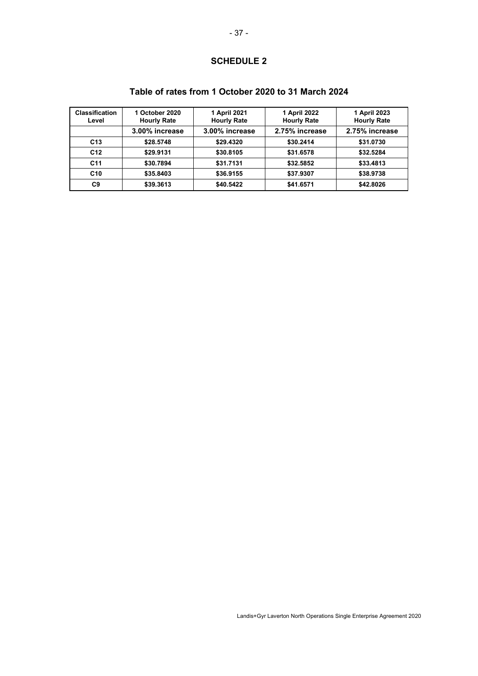# **SCHEDULE 2**

| <b>Classification</b><br>Level | 1 October 2020<br><b>Hourly Rate</b> | 1 April 2021<br><b>Hourly Rate</b> | 1 April 2022<br><b>Hourly Rate</b> | 1 April 2023<br><b>Hourly Rate</b> |
|--------------------------------|--------------------------------------|------------------------------------|------------------------------------|------------------------------------|
|                                | 3.00% increase                       | 3.00% increase                     | 2.75% increase                     | 2.75% increase                     |
| C <sub>13</sub>                | \$28.5748                            | \$29.4320                          | \$30.2414                          | \$31.0730                          |
| C <sub>12</sub>                | \$29.9131                            | \$30.8105                          | \$31,6578                          | \$32.5284                          |
| C <sub>11</sub>                | \$30.7894                            | \$31.7131                          | \$32,5852                          | \$33,4813                          |
| C <sub>10</sub>                | \$35.8403                            | \$36.9155                          | \$37.9307                          | \$38,9738                          |
| C9                             | \$39,3613                            | \$40.5422                          | \$41.6571                          | \$42,8026                          |

### **Table of rates from 1 October 2020 to 31 March 2024**